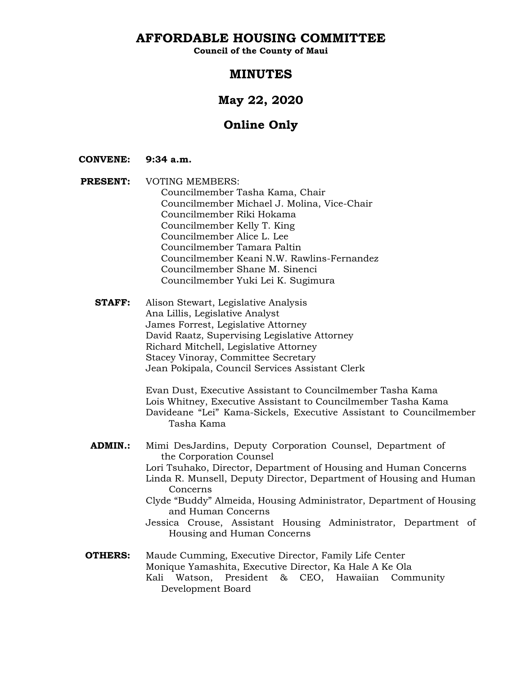**AFFORDABLE HOUSING COMMITTEE**

**Council of the County of Maui** 

# **MINUTES**

# **May 22, 2020**

# **Online Only**

 **CONVENE: 9:34 a.m.**

- **PRESENT:** VOTING MEMBERS: Councilmember Tasha Kama, Chair Councilmember Michael J. Molina, Vice-Chair Councilmember Riki Hokama Councilmember Kelly T. King Councilmember Alice L. Lee Councilmember Tamara Paltin Councilmember Keani N.W. Rawlins-Fernandez Councilmember Shane M. Sinenci Councilmember Yuki Lei K. Sugimura
	- **STAFF:** Alison Stewart, Legislative Analysis Ana Lillis, Legislative Analyst James Forrest, Legislative Attorney David Raatz, Supervising Legislative Attorney Richard Mitchell, Legislative Attorney Stacey Vinoray, Committee Secretary Jean Pokipala, Council Services Assistant Clerk

Evan Dust, Executive Assistant to Councilmember Tasha Kama Lois Whitney, Executive Assistant to Councilmember Tasha Kama Davideane "Lei" Kama-Sickels, Executive Assistant to Councilmember Tasha Kama

 **ADMIN.:** Mimi DesJardins, Deputy Corporation Counsel, Department of the Corporation Counsel Lori Tsuhako, Director, Department of Housing and Human Concerns Linda R. Munsell, Deputy Director, Department of Housing and Human Concerns Clyde "Buddy" Almeida, Housing Administrator, Department of Housing and Human Concerns Jessica Crouse, Assistant Housing Administrator, Department of Housing and Human Concerns

# **OTHERS:** Maude Cumming, Executive Director, Family Life Center Monique Yamashita, Executive Director, Ka Hale A Ke Ola Kali Watson, President & CEO, Hawaiian Community Development Board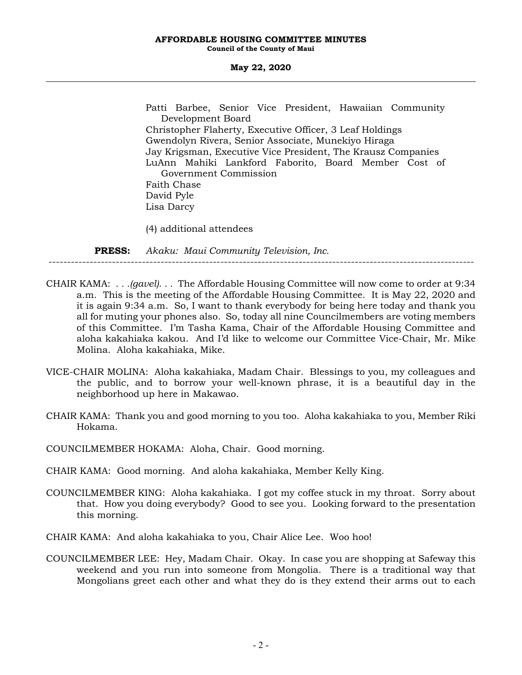**May 22, 2020** 

 Patti Barbee, Senior Vice President, Hawaiian Community Development Board Christopher Flaherty, Executive Officer, 3 Leaf Holdings Gwendolyn Rivera, Senior Associate, Munekiyo Hiraga Jay Krigsman, Executive Vice President, The Krausz Companies LuAnn Mahiki Lankford Faborito, Board Member Cost of Government Commission Faith Chase David Pyle Lisa Darcy

(4) additional attendees

 **PRESS:** *Akaku: Maui Community Television, Inc.*

CHAIR KAMA: *. . .(gavel). . .* The Affordable Housing Committee will now come to order at 9:34 a.m. This is the meeting of the Affordable Housing Committee. It is May 22, 2020 and it is again 9:34 a.m. So, I want to thank everybody for being here today and thank you all for muting your phones also. So, today all nine Councilmembers are voting members of this Committee. I'm Tasha Kama, Chair of the Affordable Housing Committee and aloha kakahiaka kakou. And I'd like to welcome our Committee Vice-Chair, Mr. Mike Molina. Aloha kakahiaka, Mike.

------------------------------------------------------------------------------------------------------------------

- VICE-CHAIR MOLINA: Aloha kakahiaka, Madam Chair. Blessings to you, my colleagues and the public, and to borrow your well-known phrase, it is a beautiful day in the neighborhood up here in Makawao.
- CHAIR KAMA: Thank you and good morning to you too. Aloha kakahiaka to you, Member Riki Hokama.
- COUNCILMEMBER HOKAMA: Aloha, Chair. Good morning.
- CHAIR KAMA: Good morning. And aloha kakahiaka, Member Kelly King.
- COUNCILMEMBER KING: Aloha kakahiaka. I got my coffee stuck in my throat. Sorry about that. How you doing everybody? Good to see you. Looking forward to the presentation this morning.
- CHAIR KAMA: And aloha kakahiaka to you, Chair Alice Lee. Woo hoo!
- COUNCILMEMBER LEE: Hey, Madam Chair. Okay. In case you are shopping at Safeway this weekend and you run into someone from Mongolia. There is a traditional way that Mongolians greet each other and what they do is they extend their arms out to each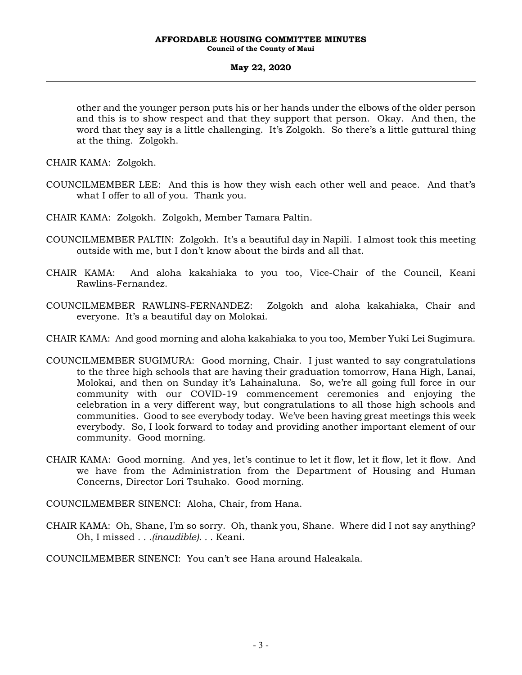# **May 22, 2020**

other and the younger person puts his or her hands under the elbows of the older person and this is to show respect and that they support that person. Okay. And then, the word that they say is a little challenging. It's Zolgokh*.* So there's a little guttural thing at the thing. Zolgokh.

CHAIR KAMA: Zolgokh.

- COUNCILMEMBER LEE: And this is how they wish each other well and peace. And that's what I offer to all of you. Thank you.
- CHAIR KAMA: Zolgokh. Zolgokh, Member Tamara Paltin.
- COUNCILMEMBER PALTIN: Zolgokh. It's a beautiful day in Napili. I almost took this meeting outside with me, but I don't know about the birds and all that.
- CHAIR KAMA: And aloha kakahiaka to you too, Vice-Chair of the Council, Keani Rawlins-Fernandez.
- COUNCILMEMBER RAWLINS-FERNANDEZ: Zolgokh and aloha kakahiaka, Chair and everyone. It's a beautiful day on Molokai.
- CHAIR KAMA: And good morning and aloha kakahiaka to you too, Member Yuki Lei Sugimura.
- COUNCILMEMBER SUGIMURA: Good morning, Chair. I just wanted to say congratulations to the three high schools that are having their graduation tomorrow, Hana High, Lanai, Molokai, and then on Sunday it's Lahainaluna. So, we're all going full force in our community with our COVID-19 commencement ceremonies and enjoying the celebration in a very different way, but congratulations to all those high schools and communities. Good to see everybody today. We've been having great meetings this week everybody. So, I look forward to today and providing another important element of our community. Good morning.
- CHAIR KAMA: Good morning. And yes, let's continue to let it flow, let it flow, let it flow. And we have from the Administration from the Department of Housing and Human Concerns, Director Lori Tsuhako. Good morning.

COUNCILMEMBER SINENCI: Aloha, Chair, from Hana.

CHAIR KAMA: Oh, Shane, I'm so sorry. Oh, thank you, Shane. Where did I not say anything? Oh, I missed *. . .(inaudible). . .* Keani.

COUNCILMEMBER SINENCI: You can't see Hana around Haleakala.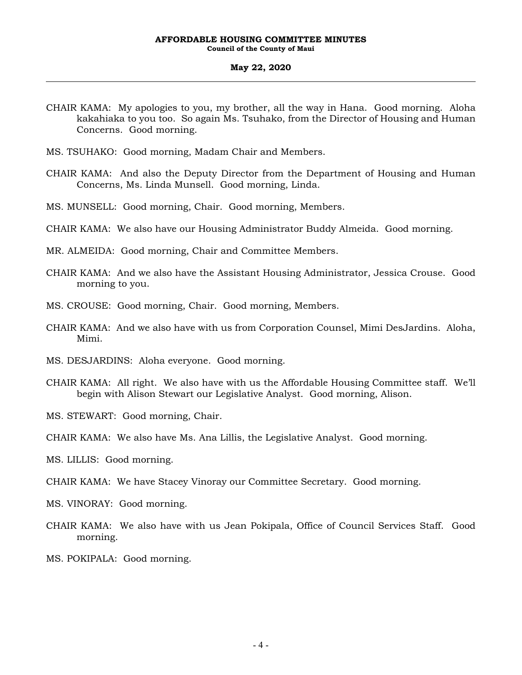- CHAIR KAMA: My apologies to you, my brother, all the way in Hana. Good morning. Aloha kakahiaka to you too. So again Ms. Tsuhako, from the Director of Housing and Human Concerns. Good morning.
- MS. TSUHAKO: Good morning, Madam Chair and Members.
- CHAIR KAMA: And also the Deputy Director from the Department of Housing and Human Concerns, Ms. Linda Munsell. Good morning, Linda.
- MS. MUNSELL: Good morning, Chair. Good morning, Members.
- CHAIR KAMA: We also have our Housing Administrator Buddy Almeida. Good morning.
- MR. ALMEIDA: Good morning, Chair and Committee Members.
- CHAIR KAMA: And we also have the Assistant Housing Administrator, Jessica Crouse. Good morning to you.
- MS. CROUSE: Good morning, Chair. Good morning, Members.
- CHAIR KAMA: And we also have with us from Corporation Counsel, Mimi DesJardins. Aloha, Mimi.
- MS. DESJARDINS: Aloha everyone. Good morning.
- CHAIR KAMA: All right. We also have with us the Affordable Housing Committee staff. We'll begin with Alison Stewart our Legislative Analyst. Good morning, Alison.
- MS. STEWART: Good morning, Chair.
- CHAIR KAMA: We also have Ms. Ana Lillis, the Legislative Analyst. Good morning.
- MS. LILLIS: Good morning.
- CHAIR KAMA: We have Stacey Vinoray our Committee Secretary. Good morning.
- MS. VINORAY: Good morning.
- CHAIR KAMA: We also have with us Jean Pokipala, Office of Council Services Staff. Good morning.
- MS. POKIPALA: Good morning.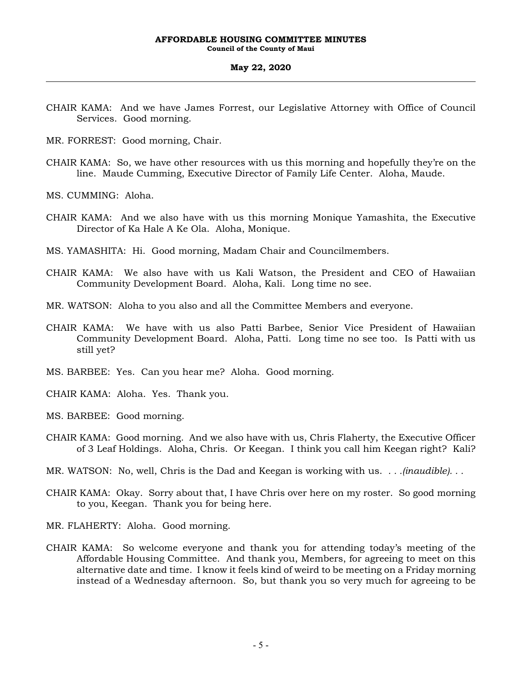# **May 22, 2020**

- CHAIR KAMA: And we have James Forrest, our Legislative Attorney with Office of Council Services. Good morning.
- MR. FORREST: Good morning, Chair.
- CHAIR KAMA: So, we have other resources with us this morning and hopefully they're on the line. Maude Cumming, Executive Director of Family Life Center. Aloha, Maude.
- MS. CUMMING: Aloha.
- CHAIR KAMA: And we also have with us this morning Monique Yamashita, the Executive Director of Ka Hale A Ke Ola. Aloha, Monique.
- MS. YAMASHITA: Hi. Good morning, Madam Chair and Councilmembers.
- CHAIR KAMA: We also have with us Kali Watson, the President and CEO of Hawaiian Community Development Board. Aloha, Kali. Long time no see.
- MR. WATSON: Aloha to you also and all the Committee Members and everyone.
- CHAIR KAMA: We have with us also Patti Barbee, Senior Vice President of Hawaiian Community Development Board. Aloha, Patti. Long time no see too. Is Patti with us still yet?
- MS. BARBEE: Yes. Can you hear me? Aloha. Good morning.
- CHAIR KAMA: Aloha. Yes. Thank you.
- MS. BARBEE: Good morning.
- CHAIR KAMA: Good morning. And we also have with us, Chris Flaherty, the Executive Officer of 3 Leaf Holdings. Aloha, Chris. Or Keegan. I think you call him Keegan right? Kali?
- MR. WATSON: No, well, Chris is the Dad and Keegan is working with us. *. . .(inaudible). . .*
- CHAIR KAMA: Okay. Sorry about that, I have Chris over here on my roster. So good morning to you, Keegan. Thank you for being here.

MR. FLAHERTY: Aloha. Good morning.

CHAIR KAMA: So welcome everyone and thank you for attending today's meeting of the Affordable Housing Committee. And thank you, Members, for agreeing to meet on this alternative date and time. I know it feels kind of weird to be meeting on a Friday morning instead of a Wednesday afternoon. So, but thank you so very much for agreeing to be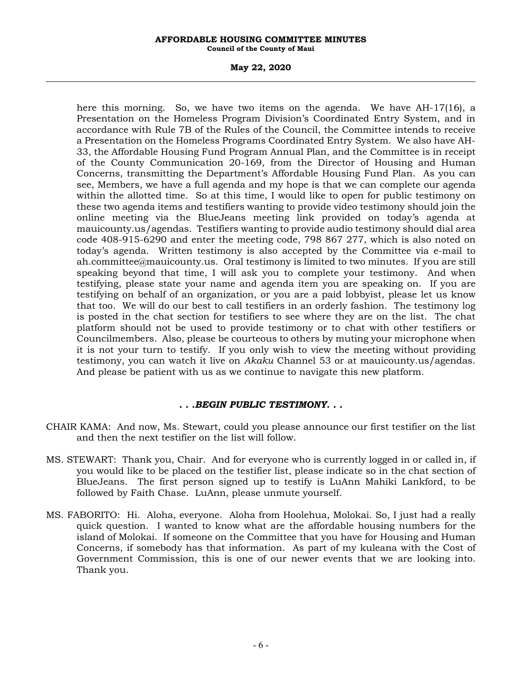## **May 22, 2020**

here this morning. So, we have two items on the agenda. We have AH-17(16), a Presentation on the Homeless Program Division's Coordinated Entry System, and in accordance with Rule 7B of the Rules of the Council, the Committee intends to receive a Presentation on the Homeless Programs Coordinated Entry System. We also have AH-33, the Affordable Housing Fund Program Annual Plan, and the Committee is in receipt of the County Communication 20-169, from the Director of Housing and Human Concerns, transmitting the Department's Affordable Housing Fund Plan. As you can see, Members, we have a full agenda and my hope is that we can complete our agenda within the allotted time. So at this time, I would like to open for public testimony on these two agenda items and testifiers wanting to provide video testimony should join the online meeting via the BlueJeans meeting link provided on today's agenda at mauicounty.us/agendas. Testifiers wanting to provide audio testimony should dial area code 408-915-6290 and enter the meeting code, 798 867 277, which is also noted on today's agenda. Written testimony is also accepted by the Committee via e-mail to ah.committee@mauicounty.us. Oral testimony is limited to two minutes. If you are still speaking beyond that time, I will ask you to complete your testimony. And when testifying, please state your name and agenda item you are speaking on. If you are testifying on behalf of an organization, or you are a paid lobbyist, please let us know that too. We will do our best to call testifiers in an orderly fashion. The testimony log is posted in the chat section for testifiers to see where they are on the list. The chat platform should not be used to provide testimony or to chat with other testifiers or Councilmembers. Also, please be courteous to others by muting your microphone when it is not your turn to testify. If you only wish to view the meeting without providing testimony, you can watch it live on *Akaku* Channel 53 or at mauicounty.us/agendas. And please be patient with us as we continue to navigate this new platform.

# *. . .BEGIN PUBLIC TESTIMONY. . .*

- CHAIR KAMA: And now, Ms. Stewart, could you please announce our first testifier on the list and then the next testifier on the list will follow.
- MS. STEWART: Thank you, Chair. And for everyone who is currently logged in or called in, if you would like to be placed on the testifier list, please indicate so in the chat section of BlueJeans. The first person signed up to testify is LuAnn Mahiki Lankford, to be followed by Faith Chase. LuAnn, please unmute yourself.
- MS. FABORITO: Hi. Aloha, everyone. Aloha from Hoolehua, Molokai. So, I just had a really quick question. I wanted to know what are the affordable housing numbers for the island of Molokai. If someone on the Committee that you have for Housing and Human Concerns, if somebody has that information. As part of my kuleana with the Cost of Government Commission, this is one of our newer events that we are looking into. Thank you.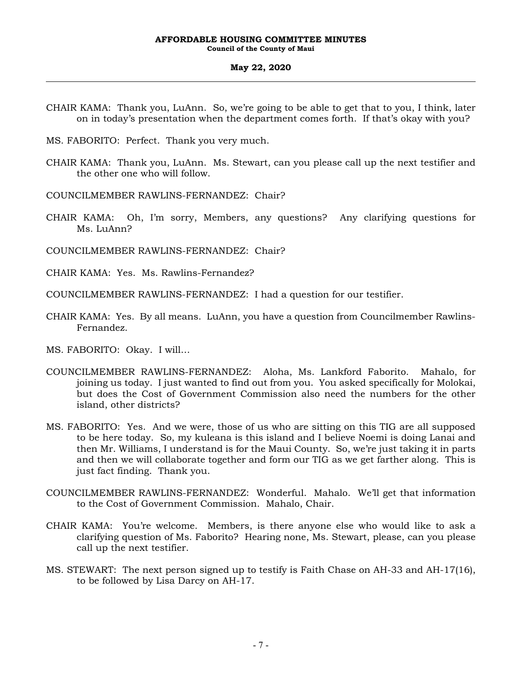# **May 22, 2020**

- CHAIR KAMA: Thank you, LuAnn. So, we're going to be able to get that to you, I think, later on in today's presentation when the department comes forth. If that's okay with you?
- MS. FABORITO: Perfect. Thank you very much.
- CHAIR KAMA: Thank you, LuAnn. Ms. Stewart, can you please call up the next testifier and the other one who will follow.

COUNCILMEMBER RAWLINS-FERNANDEZ: Chair?

CHAIR KAMA: Oh, I'm sorry, Members, any questions? Any clarifying questions for Ms. LuAnn?

COUNCILMEMBER RAWLINS-FERNANDEZ: Chair?

CHAIR KAMA: Yes. Ms. Rawlins-Fernandez?

COUNCILMEMBER RAWLINS-FERNANDEZ: I had a question for our testifier.

CHAIR KAMA: Yes. By all means. LuAnn, you have a question from Councilmember Rawlins-Fernandez.

MS. FABORITO: Okay. I will…

- COUNCILMEMBER RAWLINS-FERNANDEZ: Aloha, Ms. Lankford Faborito. Mahalo, for joining us today. I just wanted to find out from you. You asked specifically for Molokai, but does the Cost of Government Commission also need the numbers for the other island, other districts?
- MS. FABORITO: Yes. And we were, those of us who are sitting on this TIG are all supposed to be here today. So, my kuleana is this island and I believe Noemi is doing Lanai and then Mr. Williams, I understand is for the Maui County. So, we're just taking it in parts and then we will collaborate together and form our TIG as we get farther along. This is just fact finding. Thank you.
- COUNCILMEMBER RAWLINS-FERNANDEZ: Wonderful. Mahalo. We'll get that information to the Cost of Government Commission. Mahalo, Chair.
- CHAIR KAMA: You're welcome. Members, is there anyone else who would like to ask a clarifying question of Ms. Faborito? Hearing none, Ms. Stewart, please, can you please call up the next testifier.
- MS. STEWART: The next person signed up to testify is Faith Chase on AH-33 and AH-17(16), to be followed by Lisa Darcy on AH-17.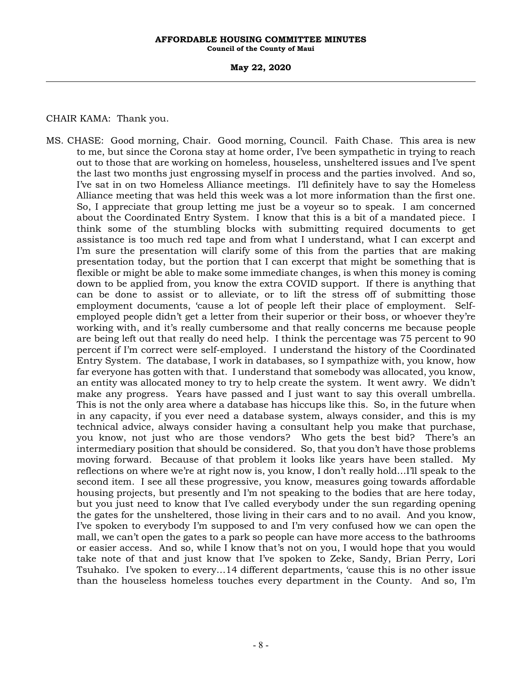**May 22, 2020** 

# CHAIR KAMA: Thank you.

MS. CHASE: Good morning, Chair. Good morning, Council. Faith Chase. This area is new to me, but since the Corona stay at home order, I've been sympathetic in trying to reach out to those that are working on homeless, houseless, unsheltered issues and I've spent the last two months just engrossing myself in process and the parties involved. And so, I've sat in on two Homeless Alliance meetings. I'll definitely have to say the Homeless Alliance meeting that was held this week was a lot more information than the first one. So, I appreciate that group letting me just be a voyeur so to speak. I am concerned about the Coordinated Entry System. I know that this is a bit of a mandated piece. I think some of the stumbling blocks with submitting required documents to get assistance is too much red tape and from what I understand, what I can excerpt and I'm sure the presentation will clarify some of this from the parties that are making presentation today, but the portion that I can excerpt that might be something that is flexible or might be able to make some immediate changes, is when this money is coming down to be applied from, you know the extra COVID support. If there is anything that can be done to assist or to alleviate, or to lift the stress off of submitting those employment documents, 'cause a lot of people left their place of employment. Selfemployed people didn't get a letter from their superior or their boss, or whoever they're working with, and it's really cumbersome and that really concerns me because people are being left out that really do need help. I think the percentage was 75 percent to 90 percent if I'm correct were self-employed. I understand the history of the Coordinated Entry System. The database, I work in databases, so I sympathize with, you know, how far everyone has gotten with that. I understand that somebody was allocated, you know, an entity was allocated money to try to help create the system. It went awry. We didn't make any progress. Years have passed and I just want to say this overall umbrella. This is not the only area where a database has hiccups like this. So, in the future when in any capacity, if you ever need a database system, always consider, and this is my technical advice, always consider having a consultant help you make that purchase, you know, not just who are those vendors? Who gets the best bid? There's an intermediary position that should be considered. So, that you don't have those problems moving forward. Because of that problem it looks like years have been stalled. My reflections on where we're at right now is, you know, I don't really hold…I'll speak to the second item. I see all these progressive, you know, measures going towards affordable housing projects, but presently and I'm not speaking to the bodies that are here today, but you just need to know that I've called everybody under the sun regarding opening the gates for the unsheltered, those living in their cars and to no avail. And you know, I've spoken to everybody I'm supposed to and I'm very confused how we can open the mall, we can't open the gates to a park so people can have more access to the bathrooms or easier access. And so, while I know that's not on you, I would hope that you would take note of that and just know that I've spoken to Zeke, Sandy, Brian Perry, Lori Tsuhako. I've spoken to every…14 different departments, 'cause this is no other issue than the houseless homeless touches every department in the County. And so, I'm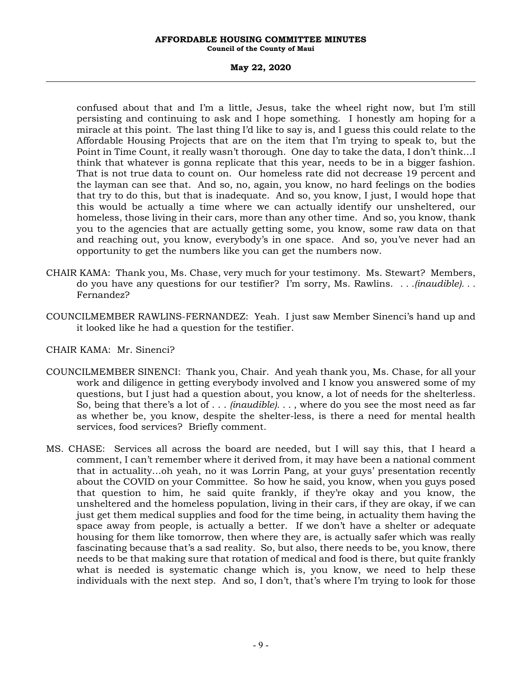# **May 22, 2020**

confused about that and I'm a little, Jesus, take the wheel right now, but I'm still persisting and continuing to ask and I hope something. I honestly am hoping for a miracle at this point. The last thing I'd like to say is, and I guess this could relate to the Affordable Housing Projects that are on the item that I'm trying to speak to, but the Point in Time Count, it really wasn't thorough. One day to take the data, I don't think…I think that whatever is gonna replicate that this year, needs to be in a bigger fashion. That is not true data to count on. Our homeless rate did not decrease 19 percent and the layman can see that. And so, no, again, you know, no hard feelings on the bodies that try to do this, but that is inadequate. And so, you know, I just, I would hope that this would be actually a time where we can actually identify our unsheltered, our homeless, those living in their cars, more than any other time. And so, you know, thank you to the agencies that are actually getting some, you know, some raw data on that and reaching out, you know, everybody's in one space. And so, you've never had an opportunity to get the numbers like you can get the numbers now.

- CHAIR KAMA: Thank you, Ms. Chase, very much for your testimony. Ms. Stewart? Members, do you have any questions for our testifier? I'm sorry, Ms. Rawlins. *. . .(inaudible). . .* Fernandez?
- COUNCILMEMBER RAWLINS-FERNANDEZ: Yeah. I just saw Member Sinenci's hand up and it looked like he had a question for the testifier.

CHAIR KAMA: Mr. Sinenci?

- COUNCILMEMBER SINENCI: Thank you, Chair. And yeah thank you, Ms. Chase, for all your work and diligence in getting everybody involved and I know you answered some of my questions, but I just had a question about, you know, a lot of needs for the shelterless. So, being that there's a lot of . . . *(inaudible). . .* , where do you see the most need as far as whether be, you know, despite the shelter-less, is there a need for mental health services, food services? Briefly comment.
- MS. CHASE: Services all across the board are needed, but I will say this, that I heard a comment, I can't remember where it derived from, it may have been a national comment that in actuality…oh yeah, no it was Lorrin Pang, at your guys' presentation recently about the COVID on your Committee. So how he said, you know, when you guys posed that question to him, he said quite frankly, if they're okay and you know, the unsheltered and the homeless population, living in their cars, if they are okay, if we can just get them medical supplies and food for the time being, in actuality them having the space away from people, is actually a better. If we don't have a shelter or adequate housing for them like tomorrow, then where they are, is actually safer which was really fascinating because that's a sad reality. So, but also, there needs to be, you know, there needs to be that making sure that rotation of medical and food is there, but quite frankly what is needed is systematic change which is, you know, we need to help these individuals with the next step. And so, I don't, that's where I'm trying to look for those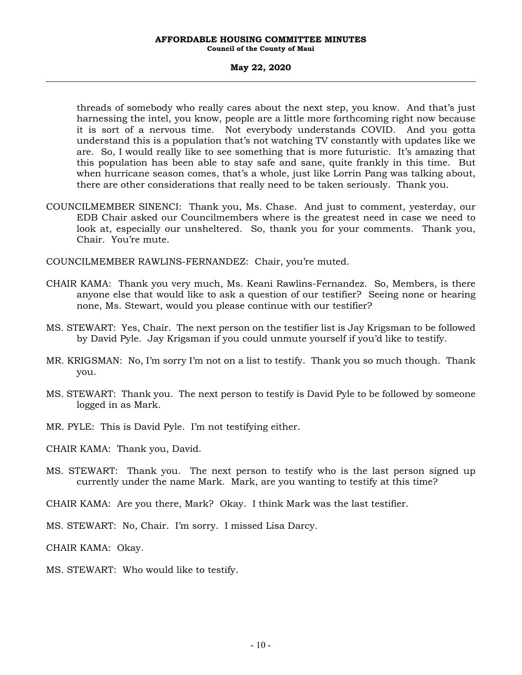### **May 22, 2020**

threads of somebody who really cares about the next step, you know. And that's just harnessing the intel, you know, people are a little more forthcoming right now because it is sort of a nervous time. Not everybody understands COVID. And you gotta understand this is a population that's not watching TV constantly with updates like we are. So, I would really like to see something that is more futuristic. It's amazing that this population has been able to stay safe and sane, quite frankly in this time. But when hurricane season comes, that's a whole, just like Lorrin Pang was talking about, there are other considerations that really need to be taken seriously. Thank you.

COUNCILMEMBER SINENCI: Thank you, Ms. Chase. And just to comment, yesterday, our EDB Chair asked our Councilmembers where is the greatest need in case we need to look at, especially our unsheltered. So, thank you for your comments. Thank you, Chair. You're mute.

COUNCILMEMBER RAWLINS-FERNANDEZ: Chair, you're muted.

- CHAIR KAMA: Thank you very much, Ms. Keani Rawlins-Fernandez. So, Members, is there anyone else that would like to ask a question of our testifier? Seeing none or hearing none, Ms. Stewart, would you please continue with our testifier?
- MS. STEWART: Yes, Chair. The next person on the testifier list is Jay Krigsman to be followed by David Pyle. Jay Krigsman if you could unmute yourself if you'd like to testify.
- MR. KRIGSMAN: No, I'm sorry I'm not on a list to testify. Thank you so much though. Thank you.
- MS. STEWART: Thank you. The next person to testify is David Pyle to be followed by someone logged in as Mark.
- MR. PYLE: This is David Pyle. I'm not testifying either.
- CHAIR KAMA: Thank you, David.
- MS. STEWART: Thank you. The next person to testify who is the last person signed up currently under the name Mark. Mark, are you wanting to testify at this time?

CHAIR KAMA: Are you there, Mark? Okay. I think Mark was the last testifier.

MS. STEWART: No, Chair. I'm sorry. I missed Lisa Darcy.

CHAIR KAMA: Okay.

MS. STEWART: Who would like to testify.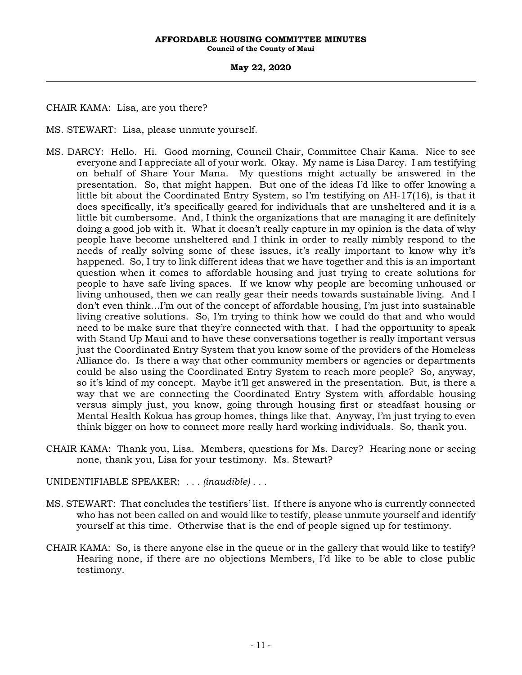## **May 22, 2020**

# CHAIR KAMA: Lisa, are you there?

- MS. STEWART: Lisa, please unmute yourself.
- MS. DARCY: Hello. Hi. Good morning, Council Chair, Committee Chair Kama. Nice to see everyone and I appreciate all of your work. Okay. My name is Lisa Darcy. I am testifying on behalf of Share Your Mana. My questions might actually be answered in the presentation. So, that might happen. But one of the ideas I'd like to offer knowing a little bit about the Coordinated Entry System, so I'm testifying on AH-17(16), is that it does specifically, it's specifically geared for individuals that are unsheltered and it is a little bit cumbersome. And, I think the organizations that are managing it are definitely doing a good job with it. What it doesn't really capture in my opinion is the data of why people have become unsheltered and I think in order to really nimbly respond to the needs of really solving some of these issues, it's really important to know why it's happened. So, I try to link different ideas that we have together and this is an important question when it comes to affordable housing and just trying to create solutions for people to have safe living spaces. If we know why people are becoming unhoused or living unhoused, then we can really gear their needs towards sustainable living. And I don't even think…I'm out of the concept of affordable housing, I'm just into sustainable living creative solutions. So, I'm trying to think how we could do that and who would need to be make sure that they're connected with that. I had the opportunity to speak with Stand Up Maui and to have these conversations together is really important versus just the Coordinated Entry System that you know some of the providers of the Homeless Alliance do. Is there a way that other community members or agencies or departments could be also using the Coordinated Entry System to reach more people? So, anyway, so it's kind of my concept. Maybe it'll get answered in the presentation. But, is there a way that we are connecting the Coordinated Entry System with affordable housing versus simply just, you know, going through housing first or steadfast housing or Mental Health Kokua has group homes, things like that. Anyway, I'm just trying to even think bigger on how to connect more really hard working individuals. So, thank you.
- CHAIR KAMA: Thank you, Lisa. Members, questions for Ms. Darcy? Hearing none or seeing none, thank you, Lisa for your testimony. Ms. Stewart?

# UNIDENTIFIABLE SPEAKER: *. . . (inaudible) . . .*

- MS. STEWART: That concludes the testifiers' list. If there is anyone who is currently connected who has not been called on and would like to testify, please unmute yourself and identify yourself at this time. Otherwise that is the end of people signed up for testimony.
- CHAIR KAMA: So, is there anyone else in the queue or in the gallery that would like to testify? Hearing none, if there are no objections Members, I'd like to be able to close public testimony.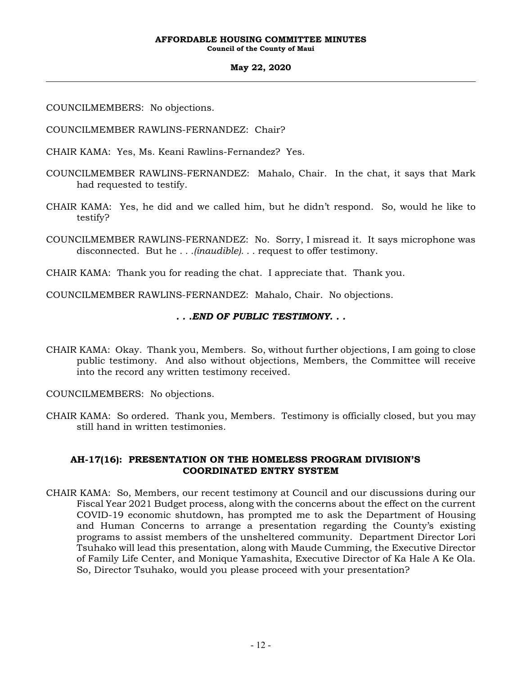# **May 22, 2020**

COUNCILMEMBERS: No objections.

COUNCILMEMBER RAWLINS-FERNANDEZ: Chair?

- CHAIR KAMA: Yes, Ms. Keani Rawlins-Fernandez? Yes.
- COUNCILMEMBER RAWLINS-FERNANDEZ: Mahalo, Chair. In the chat, it says that Mark had requested to testify.
- CHAIR KAMA: Yes, he did and we called him, but he didn't respond. So, would he like to testify?
- COUNCILMEMBER RAWLINS-FERNANDEZ: No. Sorry, I misread it. It says microphone was disconnected. But he *. . .(inaudible). . .* request to offer testimony.

CHAIR KAMA: Thank you for reading the chat. I appreciate that. Thank you.

COUNCILMEMBER RAWLINS-FERNANDEZ: Mahalo, Chair. No objections.

# *. . .END OF PUBLIC TESTIMONY. . .*

CHAIR KAMA: Okay. Thank you, Members. So, without further objections, I am going to close public testimony. And also without objections, Members, the Committee will receive into the record any written testimony received.

COUNCILMEMBERS: No objections.

CHAIR KAMA: So ordered. Thank you, Members. Testimony is officially closed, but you may still hand in written testimonies.

# **AH-17(16): PRESENTATION ON THE HOMELESS PROGRAM DIVISION'S COORDINATED ENTRY SYSTEM**

CHAIR KAMA: So, Members, our recent testimony at Council and our discussions during our Fiscal Year 2021 Budget process, along with the concerns about the effect on the current COVID-19 economic shutdown, has prompted me to ask the Department of Housing and Human Concerns to arrange a presentation regarding the County's existing programs to assist members of the unsheltered community. Department Director Lori Tsuhako will lead this presentation, along with Maude Cumming, the Executive Director of Family Life Center, and Monique Yamashita, Executive Director of Ka Hale A Ke Ola. So, Director Tsuhako, would you please proceed with your presentation?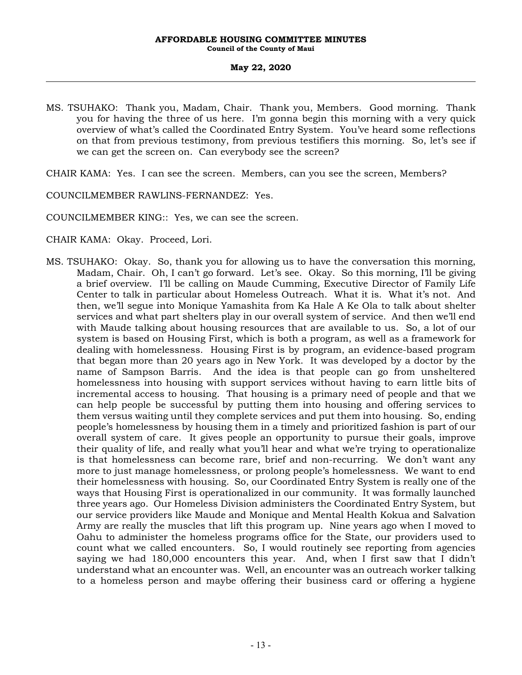# **May 22, 2020**

- MS. TSUHAKO: Thank you, Madam, Chair. Thank you, Members. Good morning. Thank you for having the three of us here. I'm gonna begin this morning with a very quick overview of what's called the Coordinated Entry System. You've heard some reflections on that from previous testimony, from previous testifiers this morning. So, let's see if we can get the screen on. Can everybody see the screen?
- CHAIR KAMA: Yes. I can see the screen. Members, can you see the screen, Members?

COUNCILMEMBER RAWLINS-FERNANDEZ: Yes.

- COUNCILMEMBER KING:: Yes, we can see the screen.
- CHAIR KAMA: Okay. Proceed, Lori.
- MS. TSUHAKO: Okay. So, thank you for allowing us to have the conversation this morning, Madam, Chair. Oh, I can't go forward. Let's see. Okay. So this morning, I'll be giving a brief overview. I'll be calling on Maude Cumming, Executive Director of Family Life Center to talk in particular about Homeless Outreach. What it is. What it's not. And then, we'll segue into Monique Yamashita from Ka Hale A Ke Ola to talk about shelter services and what part shelters play in our overall system of service. And then we'll end with Maude talking about housing resources that are available to us. So, a lot of our system is based on Housing First, which is both a program, as well as a framework for dealing with homelessness. Housing First is by program, an evidence-based program that began more than 20 years ago in New York. It was developed by a doctor by the name of Sampson Barris. And the idea is that people can go from unsheltered homelessness into housing with support services without having to earn little bits of incremental access to housing. That housing is a primary need of people and that we can help people be successful by putting them into housing and offering services to them versus waiting until they complete services and put them into housing. So, ending people's homelessness by housing them in a timely and prioritized fashion is part of our overall system of care. It gives people an opportunity to pursue their goals, improve their quality of life, and really what you'll hear and what we're trying to operationalize is that homelessness can become rare, brief and non-recurring. We don't want any more to just manage homelessness, or prolong people's homelessness. We want to end their homelessness with housing. So, our Coordinated Entry System is really one of the ways that Housing First is operationalized in our community. It was formally launched three years ago. Our Homeless Division administers the Coordinated Entry System, but our service providers like Maude and Monique and Mental Health Kokua and Salvation Army are really the muscles that lift this program up. Nine years ago when I moved to Oahu to administer the homeless programs office for the State, our providers used to count what we called encounters. So, I would routinely see reporting from agencies saying we had 180,000 encounters this year. And, when I first saw that I didn't understand what an encounter was. Well, an encounter was an outreach worker talking to a homeless person and maybe offering their business card or offering a hygiene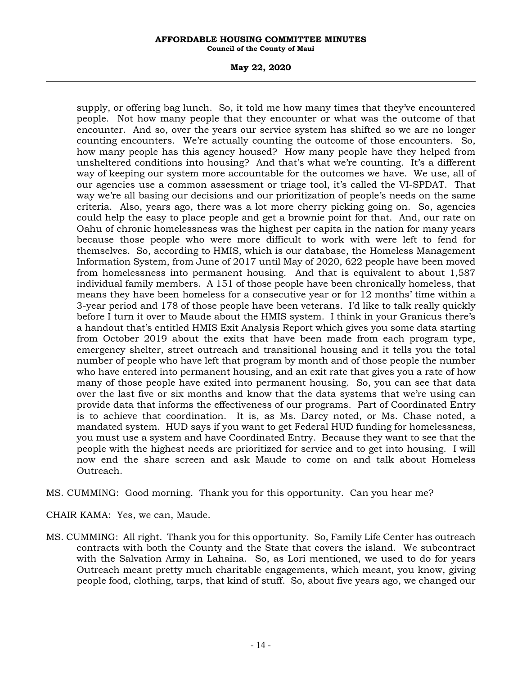# **May 22, 2020**

supply, or offering bag lunch. So, it told me how many times that they've encountered people. Not how many people that they encounter or what was the outcome of that encounter. And so, over the years our service system has shifted so we are no longer counting encounters. We're actually counting the outcome of those encounters. So, how many people has this agency housed? How many people have they helped from unsheltered conditions into housing? And that's what we're counting. It's a different way of keeping our system more accountable for the outcomes we have. We use, all of our agencies use a common assessment or triage tool, it's called the VI-SPDAT. That way we're all basing our decisions and our prioritization of people's needs on the same criteria. Also, years ago, there was a lot more cherry picking going on. So, agencies could help the easy to place people and get a brownie point for that. And, our rate on Oahu of chronic homelessness was the highest per capita in the nation for many years because those people who were more difficult to work with were left to fend for themselves. So, according to HMIS, which is our database, the Homeless Management Information System, from June of 2017 until May of 2020, 622 people have been moved from homelessness into permanent housing. And that is equivalent to about 1,587 individual family members. A 151 of those people have been chronically homeless, that means they have been homeless for a consecutive year or for 12 months' time within a 3-year period and 178 of those people have been veterans. I'd like to talk really quickly before I turn it over to Maude about the HMIS system. I think in your Granicus there's a handout that's entitled HMIS Exit Analysis Report which gives you some data starting from October 2019 about the exits that have been made from each program type, emergency shelter, street outreach and transitional housing and it tells you the total number of people who have left that program by month and of those people the number who have entered into permanent housing, and an exit rate that gives you a rate of how many of those people have exited into permanent housing. So, you can see that data over the last five or six months and know that the data systems that we're using can provide data that informs the effectiveness of our programs. Part of Coordinated Entry is to achieve that coordination. It is, as Ms. Darcy noted, or Ms. Chase noted, a mandated system. HUD says if you want to get Federal HUD funding for homelessness, you must use a system and have Coordinated Entry. Because they want to see that the people with the highest needs are prioritized for service and to get into housing. I will now end the share screen and ask Maude to come on and talk about Homeless Outreach.

MS. CUMMING: Good morning. Thank you for this opportunity. Can you hear me?

CHAIR KAMA: Yes, we can, Maude.

MS. CUMMING: All right. Thank you for this opportunity. So, Family Life Center has outreach contracts with both the County and the State that covers the island. We subcontract with the Salvation Army in Lahaina. So, as Lori mentioned, we used to do for years Outreach meant pretty much charitable engagements, which meant, you know, giving people food, clothing, tarps, that kind of stuff. So, about five years ago, we changed our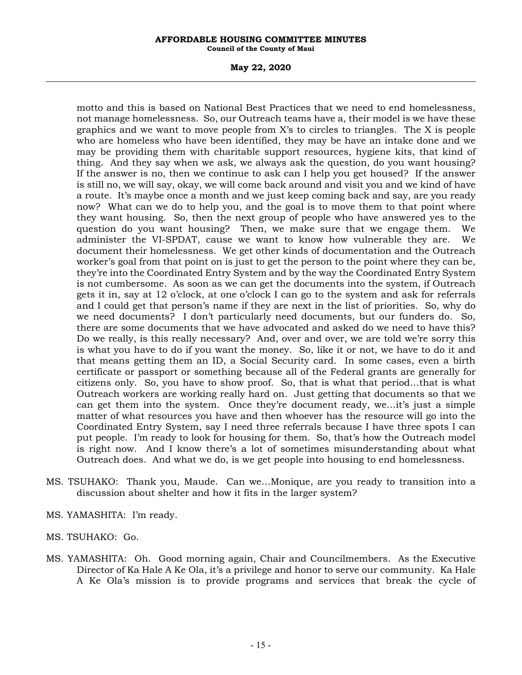# **AFFORDABLE HOUSING COMMITTEE MINUTES**

**Council of the County of Maui** 

**May 22, 2020** 

motto and this is based on National Best Practices that we need to end homelessness, not manage homelessness. So, our Outreach teams have a, their model is we have these graphics and we want to move people from X's to circles to triangles. The X is people who are homeless who have been identified, they may be have an intake done and we may be providing them with charitable support resources, hygiene kits, that kind of thing. And they say when we ask, we always ask the question, do you want housing? If the answer is no, then we continue to ask can I help you get housed? If the answer is still no, we will say, okay, we will come back around and visit you and we kind of have a route. It's maybe once a month and we just keep coming back and say, are you ready now? What can we do to help you, and the goal is to move them to that point where they want housing. So, then the next group of people who have answered yes to the question do you want housing? Then, we make sure that we engage them. We administer the VI-SPDAT, cause we want to know how vulnerable they are. We document their homelessness. We get other kinds of documentation and the Outreach worker's goal from that point on is just to get the person to the point where they can be, they're into the Coordinated Entry System and by the way the Coordinated Entry System is not cumbersome. As soon as we can get the documents into the system, if Outreach gets it in, say at 12 o'clock, at one o'clock I can go to the system and ask for referrals and I could get that person's name if they are next in the list of priorities. So, why do we need documents? I don't particularly need documents, but our funders do. So, there are some documents that we have advocated and asked do we need to have this? Do we really, is this really necessary? And, over and over, we are told we're sorry this is what you have to do if you want the money. So, like it or not, we have to do it and that means getting them an ID, a Social Security card. In some cases, even a birth certificate or passport or something because all of the Federal grants are generally for citizens only. So, you have to show proof. So, that is what that period…that is what Outreach workers are working really hard on. Just getting that documents so that we can get them into the system. Once they're document ready, we…it's just a simple matter of what resources you have and then whoever has the resource will go into the Coordinated Entry System, say I need three referrals because I have three spots I can put people. I'm ready to look for housing for them. So, that's how the Outreach model is right now. And I know there's a lot of sometimes misunderstanding about what Outreach does. And what we do, is we get people into housing to end homelessness.

- MS. TSUHAKO: Thank you, Maude. Can we…Monique, are you ready to transition into a discussion about shelter and how it fits in the larger system?
- MS. YAMASHITA: I'm ready.
- MS. TSUHAKO: Go.
- MS. YAMASHITA: Oh. Good morning again, Chair and Councilmembers. As the Executive Director of Ka Hale A Ke Ola, it's a privilege and honor to serve our community. Ka Hale A Ke Ola's mission is to provide programs and services that break the cycle of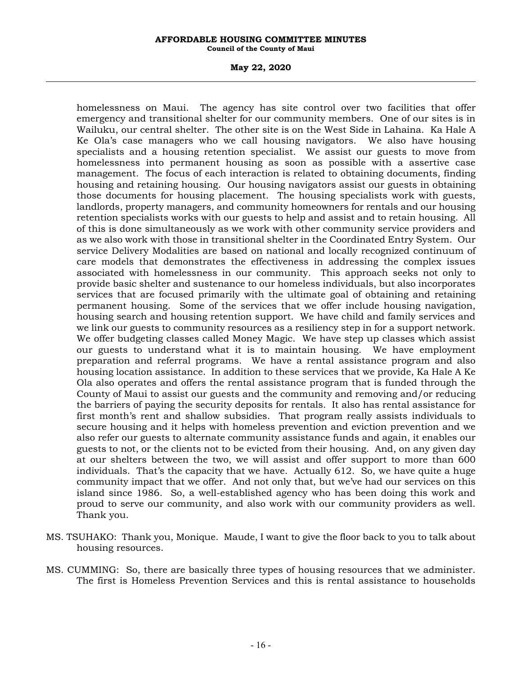### **May 22, 2020**

homelessness on Maui. The agency has site control over two facilities that offer emergency and transitional shelter for our community members. One of our sites is in Wailuku, our central shelter. The other site is on the West Side in Lahaina. Ka Hale A Ke Ola's case managers who we call housing navigators. We also have housing specialists and a housing retention specialist. We assist our guests to move from homelessness into permanent housing as soon as possible with a assertive case management. The focus of each interaction is related to obtaining documents, finding housing and retaining housing. Our housing navigators assist our guests in obtaining those documents for housing placement. The housing specialists work with guests, landlords, property managers, and community homeowners for rentals and our housing retention specialists works with our guests to help and assist and to retain housing. All of this is done simultaneously as we work with other community service providers and as we also work with those in transitional shelter in the Coordinated Entry System. Our service Delivery Modalities are based on national and locally recognized continuum of care models that demonstrates the effectiveness in addressing the complex issues associated with homelessness in our community. This approach seeks not only to provide basic shelter and sustenance to our homeless individuals, but also incorporates services that are focused primarily with the ultimate goal of obtaining and retaining permanent housing. Some of the services that we offer include housing navigation, housing search and housing retention support. We have child and family services and we link our guests to community resources as a resiliency step in for a support network. We offer budgeting classes called Money Magic. We have step up classes which assist our guests to understand what it is to maintain housing. We have employment preparation and referral programs. We have a rental assistance program and also housing location assistance. In addition to these services that we provide, Ka Hale A Ke Ola also operates and offers the rental assistance program that is funded through the County of Maui to assist our guests and the community and removing and/or reducing the barriers of paying the security deposits for rentals. It also has rental assistance for first month's rent and shallow subsidies. That program really assists individuals to secure housing and it helps with homeless prevention and eviction prevention and we also refer our guests to alternate community assistance funds and again, it enables our guests to not, or the clients not to be evicted from their housing. And, on any given day at our shelters between the two, we will assist and offer support to more than 600 individuals. That's the capacity that we have. Actually 612. So, we have quite a huge community impact that we offer. And not only that, but we've had our services on this island since 1986. So, a well-established agency who has been doing this work and proud to serve our community, and also work with our community providers as well. Thank you.

- MS. TSUHAKO: Thank you, Monique. Maude, I want to give the floor back to you to talk about housing resources.
- MS. CUMMING: So, there are basically three types of housing resources that we administer. The first is Homeless Prevention Services and this is rental assistance to households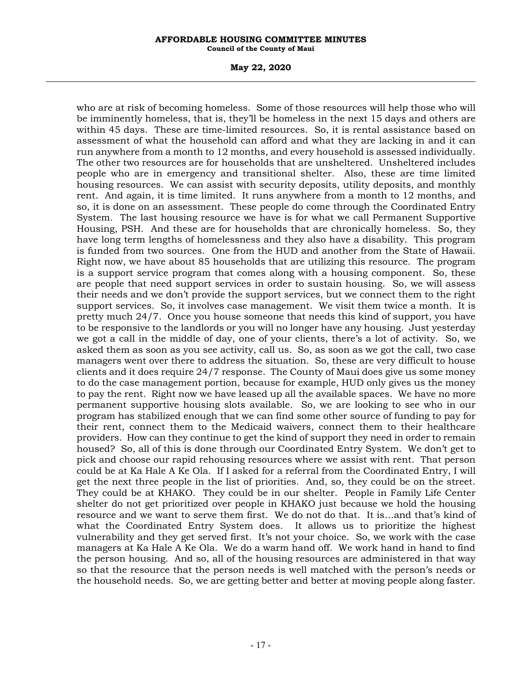# **AFFORDABLE HOUSING COMMITTEE MINUTES**

**Council of the County of Maui** 

**May 22, 2020** 

who are at risk of becoming homeless. Some of those resources will help those who will be imminently homeless, that is, they'll be homeless in the next 15 days and others are within 45 days. These are time-limited resources. So, it is rental assistance based on assessment of what the household can afford and what they are lacking in and it can run anywhere from a month to 12 months, and every household is assessed individually. The other two resources are for households that are unsheltered. Unsheltered includes people who are in emergency and transitional shelter. Also, these are time limited housing resources. We can assist with security deposits, utility deposits, and monthly rent. And again, it is time limited. It runs anywhere from a month to 12 months, and so, it is done on an assessment. These people do come through the Coordinated Entry System. The last housing resource we have is for what we call Permanent Supportive Housing, PSH. And these are for households that are chronically homeless. So, they have long term lengths of homelessness and they also have a disability. This program is funded from two sources. One from the HUD and another from the State of Hawaii. Right now, we have about 85 households that are utilizing this resource. The program is a support service program that comes along with a housing component. So, these are people that need support services in order to sustain housing. So, we will assess their needs and we don't provide the support services, but we connect them to the right support services. So, it involves case management. We visit them twice a month. It is pretty much 24/7. Once you house someone that needs this kind of support, you have to be responsive to the landlords or you will no longer have any housing. Just yesterday we got a call in the middle of day, one of your clients, there's a lot of activity. So, we asked them as soon as you see activity, call us. So, as soon as we got the call, two case managers went over there to address the situation. So, these are very difficult to house clients and it does require 24/7 response. The County of Maui does give us some money to do the case management portion, because for example, HUD only gives us the money to pay the rent. Right now we have leased up all the available spaces. We have no more permanent supportive housing slots available. So, we are looking to see who in our program has stabilized enough that we can find some other source of funding to pay for their rent, connect them to the Medicaid waivers, connect them to their healthcare providers. How can they continue to get the kind of support they need in order to remain housed? So, all of this is done through our Coordinated Entry System. We don't get to pick and choose our rapid rehousing resources where we assist with rent. That person could be at Ka Hale A Ke Ola. If I asked for a referral from the Coordinated Entry, I will get the next three people in the list of priorities. And, so, they could be on the street. They could be at KHAKO. They could be in our shelter. People in Family Life Center shelter do not get prioritized over people in KHAKO just because we hold the housing resource and we want to serve them first. We do not do that. It is…and that's kind of what the Coordinated Entry System does. It allows us to prioritize the highest vulnerability and they get served first. It's not your choice. So, we work with the case managers at Ka Hale A Ke Ola. We do a warm hand off. We work hand in hand to find the person housing. And so, all of the housing resources are administered in that way so that the resource that the person needs is well matched with the person's needs or the household needs. So, we are getting better and better at moving people along faster.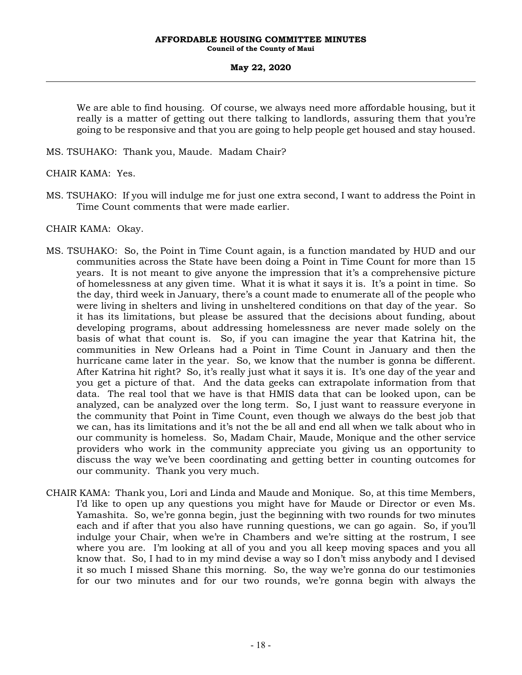# **May 22, 2020**

We are able to find housing. Of course, we always need more affordable housing, but it really is a matter of getting out there talking to landlords, assuring them that you're going to be responsive and that you are going to help people get housed and stay housed.

MS. TSUHAKO: Thank you, Maude. Madam Chair?

CHAIR KAMA: Yes.

MS. TSUHAKO: If you will indulge me for just one extra second, I want to address the Point in Time Count comments that were made earlier.

CHAIR KAMA: Okay.

- MS. TSUHAKO: So, the Point in Time Count again, is a function mandated by HUD and our communities across the State have been doing a Point in Time Count for more than 15 years. It is not meant to give anyone the impression that it's a comprehensive picture of homelessness at any given time. What it is what it says it is. It's a point in time. So the day, third week in January, there's a count made to enumerate all of the people who were living in shelters and living in unsheltered conditions on that day of the year. So it has its limitations, but please be assured that the decisions about funding, about developing programs, about addressing homelessness are never made solely on the basis of what that count is. So, if you can imagine the year that Katrina hit, the communities in New Orleans had a Point in Time Count in January and then the hurricane came later in the year. So, we know that the number is gonna be different. After Katrina hit right? So, it's really just what it says it is. It's one day of the year and you get a picture of that. And the data geeks can extrapolate information from that data. The real tool that we have is that HMIS data that can be looked upon, can be analyzed, can be analyzed over the long term. So, I just want to reassure everyone in the community that Point in Time Count, even though we always do the best job that we can, has its limitations and it's not the be all and end all when we talk about who in our community is homeless. So, Madam Chair, Maude, Monique and the other service providers who work in the community appreciate you giving us an opportunity to discuss the way we've been coordinating and getting better in counting outcomes for our community. Thank you very much.
- CHAIR KAMA: Thank you, Lori and Linda and Maude and Monique. So, at this time Members, I'd like to open up any questions you might have for Maude or Director or even Ms. Yamashita. So, we're gonna begin, just the beginning with two rounds for two minutes each and if after that you also have running questions, we can go again. So, if you'll indulge your Chair, when we're in Chambers and we're sitting at the rostrum, I see where you are. I'm looking at all of you and you all keep moving spaces and you all know that. So, I had to in my mind devise a way so I don't miss anybody and I devised it so much I missed Shane this morning. So, the way we're gonna do our testimonies for our two minutes and for our two rounds, we're gonna begin with always the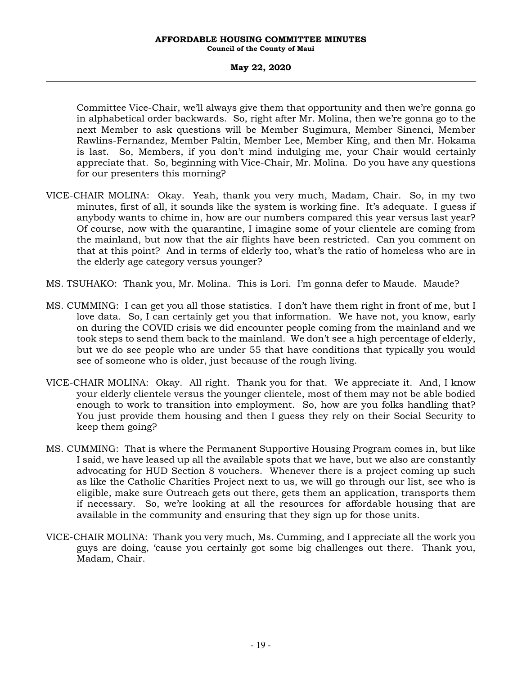# **May 22, 2020**

Committee Vice-Chair, we'll always give them that opportunity and then we're gonna go in alphabetical order backwards. So, right after Mr. Molina, then we're gonna go to the next Member to ask questions will be Member Sugimura, Member Sinenci, Member Rawlins-Fernandez, Member Paltin, Member Lee, Member King, and then Mr. Hokama is last. So, Members, if you don't mind indulging me, your Chair would certainly appreciate that. So, beginning with Vice-Chair, Mr. Molina. Do you have any questions for our presenters this morning?

- VICE-CHAIR MOLINA: Okay. Yeah, thank you very much, Madam, Chair. So, in my two minutes, first of all, it sounds like the system is working fine. It's adequate. I guess if anybody wants to chime in, how are our numbers compared this year versus last year? Of course, now with the quarantine, I imagine some of your clientele are coming from the mainland, but now that the air flights have been restricted. Can you comment on that at this point? And in terms of elderly too, what's the ratio of homeless who are in the elderly age category versus younger?
- MS. TSUHAKO: Thank you, Mr. Molina. This is Lori. I'm gonna defer to Maude. Maude?
- MS. CUMMING: I can get you all those statistics. I don't have them right in front of me, but I love data. So, I can certainly get you that information. We have not, you know, early on during the COVID crisis we did encounter people coming from the mainland and we took steps to send them back to the mainland. We don't see a high percentage of elderly, but we do see people who are under 55 that have conditions that typically you would see of someone who is older, just because of the rough living.
- VICE-CHAIR MOLINA: Okay. All right. Thank you for that. We appreciate it. And, I know your elderly clientele versus the younger clientele, most of them may not be able bodied enough to work to transition into employment. So, how are you folks handling that? You just provide them housing and then I guess they rely on their Social Security to keep them going?
- MS. CUMMING: That is where the Permanent Supportive Housing Program comes in, but like I said, we have leased up all the available spots that we have, but we also are constantly advocating for HUD Section 8 vouchers. Whenever there is a project coming up such as like the Catholic Charities Project next to us, we will go through our list, see who is eligible, make sure Outreach gets out there, gets them an application, transports them if necessary. So, we're looking at all the resources for affordable housing that are available in the community and ensuring that they sign up for those units.
- VICE-CHAIR MOLINA: Thank you very much, Ms. Cumming, and I appreciate all the work you guys are doing, 'cause you certainly got some big challenges out there. Thank you, Madam, Chair.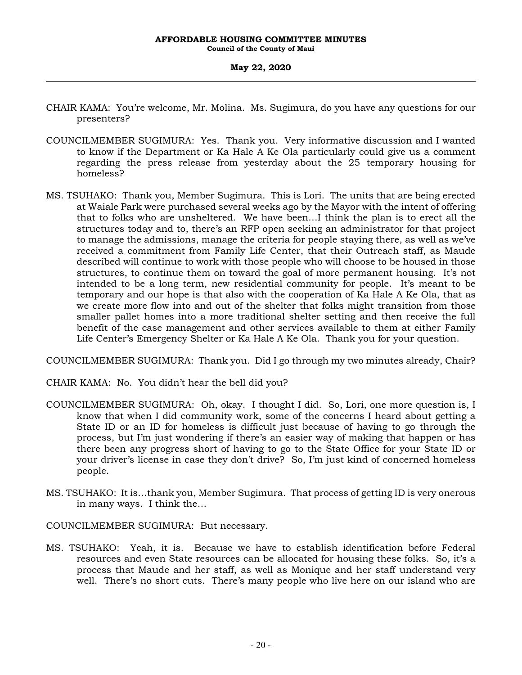# **May 22, 2020**

- CHAIR KAMA: You're welcome, Mr. Molina. Ms. Sugimura, do you have any questions for our presenters?
- COUNCILMEMBER SUGIMURA: Yes. Thank you. Very informative discussion and I wanted to know if the Department or Ka Hale A Ke Ola particularly could give us a comment regarding the press release from yesterday about the 25 temporary housing for homeless?
- MS. TSUHAKO: Thank you, Member Sugimura. This is Lori. The units that are being erected at Waiale Park were purchased several weeks ago by the Mayor with the intent of offering that to folks who are unsheltered. We have been…I think the plan is to erect all the structures today and to, there's an RFP open seeking an administrator for that project to manage the admissions, manage the criteria for people staying there, as well as we've received a commitment from Family Life Center, that their Outreach staff, as Maude described will continue to work with those people who will choose to be housed in those structures, to continue them on toward the goal of more permanent housing. It's not intended to be a long term, new residential community for people. It's meant to be temporary and our hope is that also with the cooperation of Ka Hale A Ke Ola, that as we create more flow into and out of the shelter that folks might transition from those smaller pallet homes into a more traditional shelter setting and then receive the full benefit of the case management and other services available to them at either Family Life Center's Emergency Shelter or Ka Hale A Ke Ola. Thank you for your question.

COUNCILMEMBER SUGIMURA: Thank you. Did I go through my two minutes already, Chair?

CHAIR KAMA: No. You didn't hear the bell did you?

- COUNCILMEMBER SUGIMURA: Oh, okay. I thought I did. So, Lori, one more question is, I know that when I did community work, some of the concerns I heard about getting a State ID or an ID for homeless is difficult just because of having to go through the process, but I'm just wondering if there's an easier way of making that happen or has there been any progress short of having to go to the State Office for your State ID or your driver's license in case they don't drive? So, I'm just kind of concerned homeless people.
- MS. TSUHAKO: It is…thank you, Member Sugimura. That process of getting ID is very onerous in many ways. I think the…

COUNCILMEMBER SUGIMURA: But necessary.

MS. TSUHAKO: Yeah, it is. Because we have to establish identification before Federal resources and even State resources can be allocated for housing these folks. So, it's a process that Maude and her staff, as well as Monique and her staff understand very well. There's no short cuts. There's many people who live here on our island who are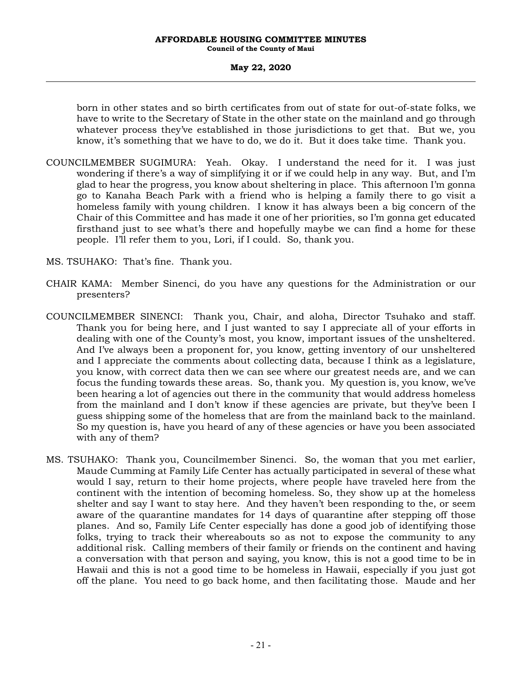# **May 22, 2020**

born in other states and so birth certificates from out of state for out-of-state folks, we have to write to the Secretary of State in the other state on the mainland and go through whatever process they've established in those jurisdictions to get that. But we, you know, it's something that we have to do, we do it. But it does take time. Thank you.

- COUNCILMEMBER SUGIMURA: Yeah. Okay. I understand the need for it. I was just wondering if there's a way of simplifying it or if we could help in any way. But, and I'm glad to hear the progress, you know about sheltering in place. This afternoon I'm gonna go to Kanaha Beach Park with a friend who is helping a family there to go visit a homeless family with young children. I know it has always been a big concern of the Chair of this Committee and has made it one of her priorities, so I'm gonna get educated firsthand just to see what's there and hopefully maybe we can find a home for these people. I'll refer them to you, Lori, if I could. So, thank you.
- MS. TSUHAKO: That's fine. Thank you.
- CHAIR KAMA: Member Sinenci, do you have any questions for the Administration or our presenters?
- COUNCILMEMBER SINENCI: Thank you, Chair, and aloha, Director Tsuhako and staff. Thank you for being here, and I just wanted to say I appreciate all of your efforts in dealing with one of the County's most, you know, important issues of the unsheltered. And I've always been a proponent for, you know, getting inventory of our unsheltered and I appreciate the comments about collecting data, because I think as a legislature, you know, with correct data then we can see where our greatest needs are, and we can focus the funding towards these areas. So, thank you. My question is, you know, we've been hearing a lot of agencies out there in the community that would address homeless from the mainland and I don't know if these agencies are private, but they've been I guess shipping some of the homeless that are from the mainland back to the mainland. So my question is, have you heard of any of these agencies or have you been associated with any of them?
- MS. TSUHAKO: Thank you, Councilmember Sinenci. So, the woman that you met earlier, Maude Cumming at Family Life Center has actually participated in several of these what would I say, return to their home projects, where people have traveled here from the continent with the intention of becoming homeless. So, they show up at the homeless shelter and say I want to stay here. And they haven't been responding to the, or seem aware of the quarantine mandates for 14 days of quarantine after stepping off those planes. And so, Family Life Center especially has done a good job of identifying those folks, trying to track their whereabouts so as not to expose the community to any additional risk. Calling members of their family or friends on the continent and having a conversation with that person and saying, you know, this is not a good time to be in Hawaii and this is not a good time to be homeless in Hawaii, especially if you just got off the plane. You need to go back home, and then facilitating those. Maude and her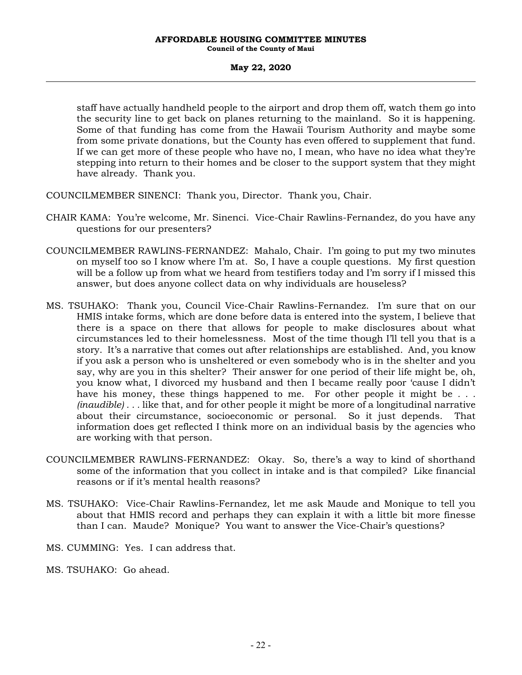# **May 22, 2020**

staff have actually handheld people to the airport and drop them off, watch them go into the security line to get back on planes returning to the mainland. So it is happening. Some of that funding has come from the Hawaii Tourism Authority and maybe some from some private donations, but the County has even offered to supplement that fund. If we can get more of these people who have no, I mean, who have no idea what they're stepping into return to their homes and be closer to the support system that they might have already. Thank you.

COUNCILMEMBER SINENCI: Thank you, Director. Thank you, Chair.

- CHAIR KAMA: You're welcome, Mr. Sinenci. Vice-Chair Rawlins-Fernandez, do you have any questions for our presenters?
- COUNCILMEMBER RAWLINS-FERNANDEZ: Mahalo, Chair. I'm going to put my two minutes on myself too so I know where I'm at. So, I have a couple questions. My first question will be a follow up from what we heard from testifiers today and I'm sorry if I missed this answer, but does anyone collect data on why individuals are houseless?
- MS. TSUHAKO: Thank you, Council Vice-Chair Rawlins-Fernandez. I'm sure that on our HMIS intake forms, which are done before data is entered into the system, I believe that there is a space on there that allows for people to make disclosures about what circumstances led to their homelessness. Most of the time though I'll tell you that is a story. It's a narrative that comes out after relationships are established. And, you know if you ask a person who is unsheltered or even somebody who is in the shelter and you say, why are you in this shelter? Their answer for one period of their life might be, oh, you know what, I divorced my husband and then I became really poor 'cause I didn't have his money, these things happened to me. For other people it might be *. . . (inaudible) . . .* like that, and for other people it might be more of a longitudinal narrative about their circumstance, socioeconomic or personal. So it just depends. That information does get reflected I think more on an individual basis by the agencies who are working with that person.
- COUNCILMEMBER RAWLINS-FERNANDEZ: Okay. So, there's a way to kind of shorthand some of the information that you collect in intake and is that compiled? Like financial reasons or if it's mental health reasons?
- MS. TSUHAKO: Vice-Chair Rawlins-Fernandez, let me ask Maude and Monique to tell you about that HMIS record and perhaps they can explain it with a little bit more finesse than I can. Maude? Monique? You want to answer the Vice-Chair's questions?
- MS. CUMMING: Yes. I can address that.
- MS. TSUHAKO: Go ahead.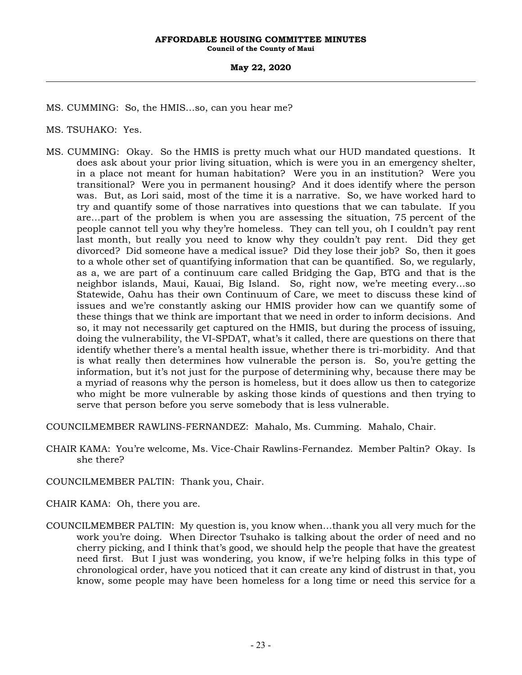# **May 22, 2020**

MS. CUMMING: So, the HMIS…so, can you hear me?

MS. TSUHAKO: Yes.

MS. CUMMING: Okay. So the HMIS is pretty much what our HUD mandated questions. It does ask about your prior living situation, which is were you in an emergency shelter, in a place not meant for human habitation? Were you in an institution? Were you transitional? Were you in permanent housing? And it does identify where the person was. But, as Lori said, most of the time it is a narrative. So, we have worked hard to try and quantify some of those narratives into questions that we can tabulate. If you are…part of the problem is when you are assessing the situation, 75 percent of the people cannot tell you why they're homeless. They can tell you, oh I couldn't pay rent last month, but really you need to know why they couldn't pay rent. Did they get divorced? Did someone have a medical issue? Did they lose their job? So, then it goes to a whole other set of quantifying information that can be quantified. So, we regularly, as a, we are part of a continuum care called Bridging the Gap, BTG and that is the neighbor islands, Maui, Kauai, Big Island. So, right now, we're meeting every…so Statewide, Oahu has their own Continuum of Care, we meet to discuss these kind of issues and we're constantly asking our HMIS provider how can we quantify some of these things that we think are important that we need in order to inform decisions. And so, it may not necessarily get captured on the HMIS, but during the process of issuing, doing the vulnerability, the VI-SPDAT, what's it called, there are questions on there that identify whether there's a mental health issue, whether there is tri-morbidity. And that is what really then determines how vulnerable the person is. So, you're getting the information, but it's not just for the purpose of determining why, because there may be a myriad of reasons why the person is homeless, but it does allow us then to categorize who might be more vulnerable by asking those kinds of questions and then trying to serve that person before you serve somebody that is less vulnerable.

COUNCILMEMBER RAWLINS-FERNANDEZ: Mahalo, Ms. Cumming. Mahalo, Chair.

- CHAIR KAMA: You're welcome, Ms. Vice-Chair Rawlins-Fernandez. Member Paltin? Okay. Is she there?
- COUNCILMEMBER PALTIN: Thank you, Chair.
- CHAIR KAMA: Oh, there you are.
- COUNCILMEMBER PALTIN: My question is, you know when…thank you all very much for the work you're doing. When Director Tsuhako is talking about the order of need and no cherry picking, and I think that's good, we should help the people that have the greatest need first. But I just was wondering, you know, if we're helping folks in this type of chronological order, have you noticed that it can create any kind of distrust in that, you know, some people may have been homeless for a long time or need this service for a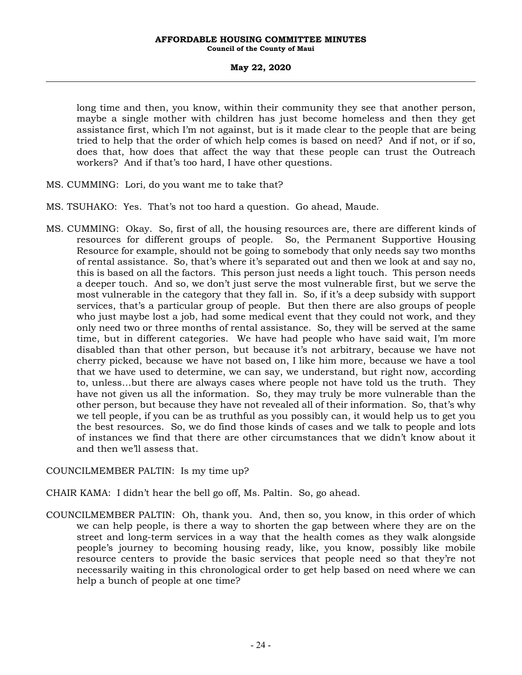# **May 22, 2020**

long time and then, you know, within their community they see that another person, maybe a single mother with children has just become homeless and then they get assistance first, which I'm not against, but is it made clear to the people that are being tried to help that the order of which help comes is based on need? And if not, or if so, does that, how does that affect the way that these people can trust the Outreach workers? And if that's too hard, I have other questions.

- MS. CUMMING: Lori, do you want me to take that?
- MS. TSUHAKO: Yes. That's not too hard a question. Go ahead, Maude.
- MS. CUMMING: Okay. So, first of all, the housing resources are, there are different kinds of resources for different groups of people. So, the Permanent Supportive Housing Resource for example, should not be going to somebody that only needs say two months of rental assistance. So, that's where it's separated out and then we look at and say no, this is based on all the factors. This person just needs a light touch. This person needs a deeper touch. And so, we don't just serve the most vulnerable first, but we serve the most vulnerable in the category that they fall in. So, if it's a deep subsidy with support services, that's a particular group of people. But then there are also groups of people who just maybe lost a job, had some medical event that they could not work, and they only need two or three months of rental assistance. So, they will be served at the same time, but in different categories. We have had people who have said wait, I'm more disabled than that other person, but because it's not arbitrary, because we have not cherry picked, because we have not based on, I like him more, because we have a tool that we have used to determine, we can say, we understand, but right now, according to, unless…but there are always cases where people not have told us the truth. They have not given us all the information. So, they may truly be more vulnerable than the other person, but because they have not revealed all of their information. So, that's why we tell people, if you can be as truthful as you possibly can, it would help us to get you the best resources. So, we do find those kinds of cases and we talk to people and lots of instances we find that there are other circumstances that we didn't know about it and then we'll assess that.

COUNCILMEMBER PALTIN: Is my time up?

- CHAIR KAMA: I didn't hear the bell go off, Ms. Paltin. So, go ahead.
- COUNCILMEMBER PALTIN: Oh, thank you. And, then so, you know, in this order of which we can help people, is there a way to shorten the gap between where they are on the street and long-term services in a way that the health comes as they walk alongside people's journey to becoming housing ready, like, you know, possibly like mobile resource centers to provide the basic services that people need so that they're not necessarily waiting in this chronological order to get help based on need where we can help a bunch of people at one time?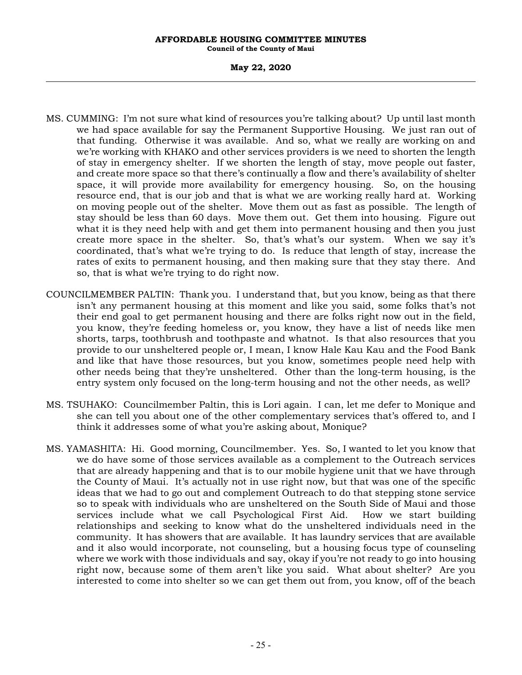- MS. CUMMING: I'm not sure what kind of resources you're talking about? Up until last month we had space available for say the Permanent Supportive Housing. We just ran out of that funding. Otherwise it was available. And so, what we really are working on and we're working with KHAKO and other services providers is we need to shorten the length of stay in emergency shelter. If we shorten the length of stay, move people out faster, and create more space so that there's continually a flow and there's availability of shelter space, it will provide more availability for emergency housing. So, on the housing resource end, that is our job and that is what we are working really hard at. Working on moving people out of the shelter. Move them out as fast as possible. The length of stay should be less than 60 days. Move them out. Get them into housing. Figure out what it is they need help with and get them into permanent housing and then you just create more space in the shelter. So, that's what's our system. When we say it's coordinated, that's what we're trying to do. Is reduce that length of stay, increase the rates of exits to permanent housing, and then making sure that they stay there. And so, that is what we're trying to do right now.
- COUNCILMEMBER PALTIN: Thank you. I understand that, but you know, being as that there isn't any permanent housing at this moment and like you said, some folks that's not their end goal to get permanent housing and there are folks right now out in the field, you know, they're feeding homeless or, you know, they have a list of needs like men shorts, tarps, toothbrush and toothpaste and whatnot. Is that also resources that you provide to our unsheltered people or, I mean, I know Hale Kau Kau and the Food Bank and like that have those resources, but you know, sometimes people need help with other needs being that they're unsheltered. Other than the long-term housing, is the entry system only focused on the long-term housing and not the other needs, as well?
- MS. TSUHAKO: Councilmember Paltin, this is Lori again. I can, let me defer to Monique and she can tell you about one of the other complementary services that's offered to, and I think it addresses some of what you're asking about, Monique?
- MS. YAMASHITA: Hi. Good morning, Councilmember. Yes. So, I wanted to let you know that we do have some of those services available as a complement to the Outreach services that are already happening and that is to our mobile hygiene unit that we have through the County of Maui. It's actually not in use right now, but that was one of the specific ideas that we had to go out and complement Outreach to do that stepping stone service so to speak with individuals who are unsheltered on the South Side of Maui and those services include what we call Psychological First Aid. How we start building relationships and seeking to know what do the unsheltered individuals need in the community. It has showers that are available. It has laundry services that are available and it also would incorporate, not counseling, but a housing focus type of counseling where we work with those individuals and say, okay if you're not ready to go into housing right now, because some of them aren't like you said. What about shelter? Are you interested to come into shelter so we can get them out from, you know, off of the beach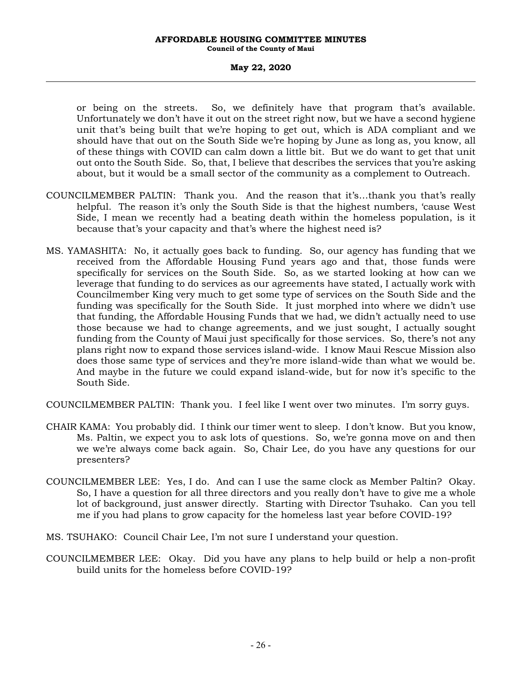# **May 22, 2020**

or being on the streets. So, we definitely have that program that's available. Unfortunately we don't have it out on the street right now, but we have a second hygiene unit that's being built that we're hoping to get out, which is ADA compliant and we should have that out on the South Side we're hoping by June as long as, you know, all of these things with COVID can calm down a little bit. But we do want to get that unit out onto the South Side. So, that, I believe that describes the services that you're asking about, but it would be a small sector of the community as a complement to Outreach.

- COUNCILMEMBER PALTIN: Thank you. And the reason that it's…thank you that's really helpful. The reason it's only the South Side is that the highest numbers, 'cause West Side, I mean we recently had a beating death within the homeless population, is it because that's your capacity and that's where the highest need is?
- MS. YAMASHITA: No, it actually goes back to funding. So, our agency has funding that we received from the Affordable Housing Fund years ago and that, those funds were specifically for services on the South Side. So, as we started looking at how can we leverage that funding to do services as our agreements have stated, I actually work with Councilmember King very much to get some type of services on the South Side and the funding was specifically for the South Side. It just morphed into where we didn't use that funding, the Affordable Housing Funds that we had, we didn't actually need to use those because we had to change agreements, and we just sought, I actually sought funding from the County of Maui just specifically for those services. So, there's not any plans right now to expand those services island-wide. I know Maui Rescue Mission also does those same type of services and they're more island-wide than what we would be. And maybe in the future we could expand island-wide, but for now it's specific to the South Side.

COUNCILMEMBER PALTIN: Thank you. I feel like I went over two minutes. I'm sorry guys.

- CHAIR KAMA: You probably did. I think our timer went to sleep. I don't know. But you know, Ms. Paltin, we expect you to ask lots of questions. So, we're gonna move on and then we we're always come back again. So, Chair Lee, do you have any questions for our presenters?
- COUNCILMEMBER LEE: Yes, I do. And can I use the same clock as Member Paltin? Okay. So, I have a question for all three directors and you really don't have to give me a whole lot of background, just answer directly. Starting with Director Tsuhako. Can you tell me if you had plans to grow capacity for the homeless last year before COVID-19?
- MS. TSUHAKO: Council Chair Lee, I'm not sure I understand your question.
- COUNCILMEMBER LEE: Okay. Did you have any plans to help build or help a non-profit build units for the homeless before COVID-19?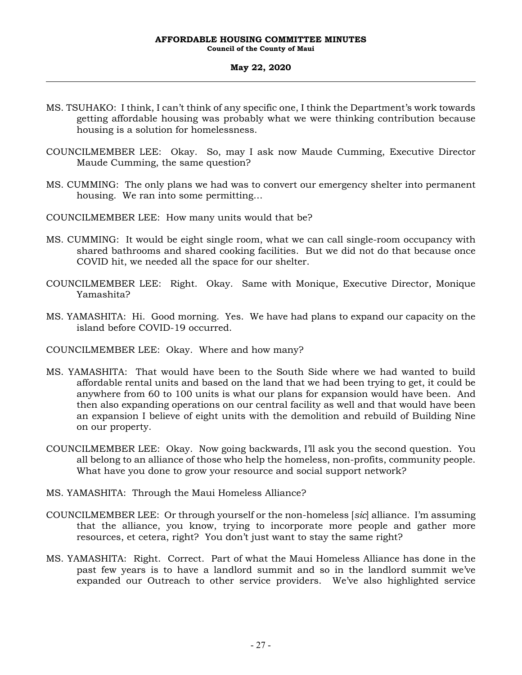- MS. TSUHAKO: I think, I can't think of any specific one, I think the Department's work towards getting affordable housing was probably what we were thinking contribution because housing is a solution for homelessness.
- COUNCILMEMBER LEE: Okay. So, may I ask now Maude Cumming, Executive Director Maude Cumming, the same question?
- MS. CUMMING: The only plans we had was to convert our emergency shelter into permanent housing. We ran into some permitting…
- COUNCILMEMBER LEE: How many units would that be?
- MS. CUMMING: It would be eight single room, what we can call single-room occupancy with shared bathrooms and shared cooking facilities. But we did not do that because once COVID hit, we needed all the space for our shelter.
- COUNCILMEMBER LEE: Right. Okay. Same with Monique, Executive Director, Monique Yamashita?
- MS. YAMASHITA: Hi. Good morning. Yes. We have had plans to expand our capacity on the island before COVID-19 occurred.
- COUNCILMEMBER LEE: Okay. Where and how many?
- MS. YAMASHITA: That would have been to the South Side where we had wanted to build affordable rental units and based on the land that we had been trying to get, it could be anywhere from 60 to 100 units is what our plans for expansion would have been. And then also expanding operations on our central facility as well and that would have been an expansion I believe of eight units with the demolition and rebuild of Building Nine on our property.
- COUNCILMEMBER LEE: Okay. Now going backwards, I'll ask you the second question. You all belong to an alliance of those who help the homeless, non-profits, community people. What have you done to grow your resource and social support network?
- MS. YAMASHITA: Through the Maui Homeless Alliance?
- COUNCILMEMBER LEE: Or through yourself or the non-homeless [*sic*] alliance. I'm assuming that the alliance, you know, trying to incorporate more people and gather more resources, et cetera, right? You don't just want to stay the same right?
- MS. YAMASHITA: Right. Correct. Part of what the Maui Homeless Alliance has done in the past few years is to have a landlord summit and so in the landlord summit we've expanded our Outreach to other service providers. We've also highlighted service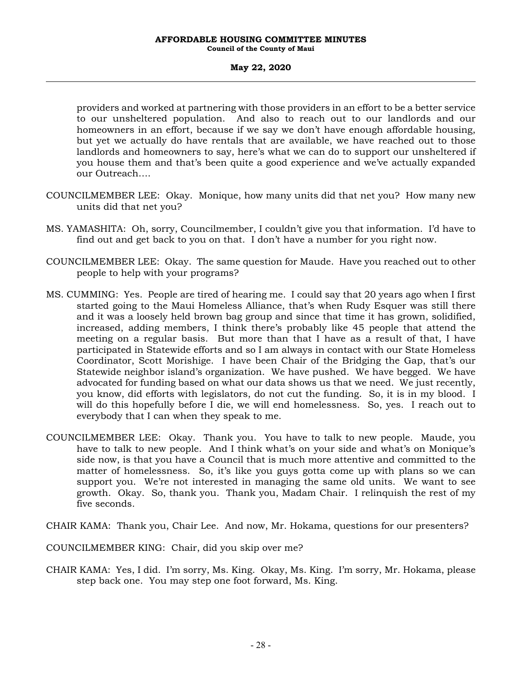# **May 22, 2020**

providers and worked at partnering with those providers in an effort to be a better service to our unsheltered population. And also to reach out to our landlords and our homeowners in an effort, because if we say we don't have enough affordable housing, but yet we actually do have rentals that are available, we have reached out to those landlords and homeowners to say, here's what we can do to support our unsheltered if you house them and that's been quite a good experience and we've actually expanded our Outreach….

- COUNCILMEMBER LEE: Okay. Monique, how many units did that net you? How many new units did that net you?
- MS. YAMASHITA: Oh, sorry, Councilmember, I couldn't give you that information. I'd have to find out and get back to you on that. I don't have a number for you right now.
- COUNCILMEMBER LEE: Okay. The same question for Maude. Have you reached out to other people to help with your programs?
- MS. CUMMING: Yes. People are tired of hearing me. I could say that 20 years ago when I first started going to the Maui Homeless Alliance, that's when Rudy Esquer was still there and it was a loosely held brown bag group and since that time it has grown, solidified, increased, adding members, I think there's probably like 45 people that attend the meeting on a regular basis. But more than that I have as a result of that, I have participated in Statewide efforts and so I am always in contact with our State Homeless Coordinator, Scott Morishige. I have been Chair of the Bridging the Gap, that's our Statewide neighbor island's organization. We have pushed. We have begged. We have advocated for funding based on what our data shows us that we need. We just recently, you know, did efforts with legislators, do not cut the funding. So, it is in my blood. I will do this hopefully before I die, we will end homelessness. So, yes. I reach out to everybody that I can when they speak to me.
- COUNCILMEMBER LEE: Okay. Thank you. You have to talk to new people. Maude, you have to talk to new people. And I think what's on your side and what's on Monique's side now, is that you have a Council that is much more attentive and committed to the matter of homelessness. So, it's like you guys gotta come up with plans so we can support you. We're not interested in managing the same old units. We want to see growth. Okay. So, thank you. Thank you, Madam Chair. I relinquish the rest of my five seconds.
- CHAIR KAMA: Thank you, Chair Lee. And now, Mr. Hokama, questions for our presenters?
- COUNCILMEMBER KING: Chair, did you skip over me?
- CHAIR KAMA: Yes, I did. I'm sorry, Ms. King. Okay, Ms. King. I'm sorry, Mr. Hokama, please step back one. You may step one foot forward, Ms. King.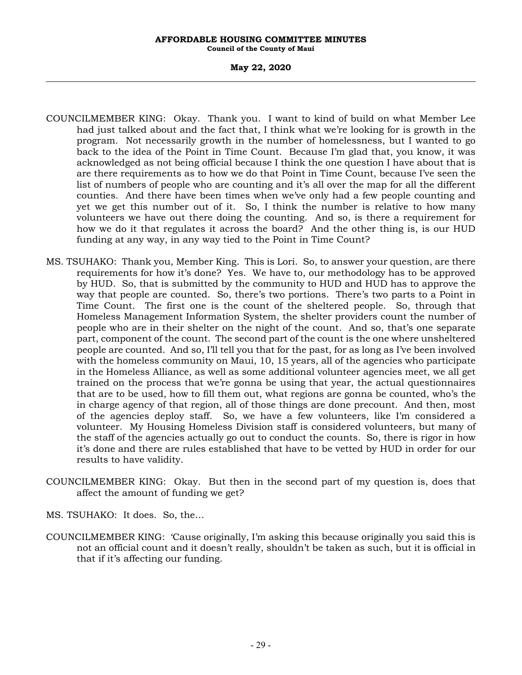- COUNCILMEMBER KING: Okay. Thank you. I want to kind of build on what Member Lee had just talked about and the fact that, I think what we're looking for is growth in the program. Not necessarily growth in the number of homelessness, but I wanted to go back to the idea of the Point in Time Count. Because I'm glad that, you know, it was acknowledged as not being official because I think the one question I have about that is are there requirements as to how we do that Point in Time Count, because I've seen the list of numbers of people who are counting and it's all over the map for all the different counties. And there have been times when we've only had a few people counting and yet we get this number out of it. So, I think the number is relative to how many volunteers we have out there doing the counting. And so, is there a requirement for how we do it that regulates it across the board? And the other thing is, is our HUD funding at any way, in any way tied to the Point in Time Count?
- MS. TSUHAKO: Thank you, Member King. This is Lori. So, to answer your question, are there requirements for how it's done? Yes. We have to, our methodology has to be approved by HUD. So, that is submitted by the community to HUD and HUD has to approve the way that people are counted. So, there's two portions. There's two parts to a Point in Time Count. The first one is the count of the sheltered people. So, through that Homeless Management Information System, the shelter providers count the number of people who are in their shelter on the night of the count. And so, that's one separate part, component of the count. The second part of the count is the one where unsheltered people are counted. And so, I'll tell you that for the past, for as long as I've been involved with the homeless community on Maui, 10, 15 years, all of the agencies who participate in the Homeless Alliance, as well as some additional volunteer agencies meet, we all get trained on the process that we're gonna be using that year, the actual questionnaires that are to be used, how to fill them out, what regions are gonna be counted, who's the in charge agency of that region, all of those things are done precount. And then, most of the agencies deploy staff. So, we have a few volunteers, like I'm considered a volunteer. My Housing Homeless Division staff is considered volunteers, but many of the staff of the agencies actually go out to conduct the counts. So, there is rigor in how it's done and there are rules established that have to be vetted by HUD in order for our results to have validity.
- COUNCILMEMBER KING: Okay. But then in the second part of my question is, does that affect the amount of funding we get?
- MS. TSUHAKO: It does. So, the…
- COUNCILMEMBER KING: 'Cause originally, I'm asking this because originally you said this is not an official count and it doesn't really, shouldn't be taken as such, but it is official in that if it's affecting our funding.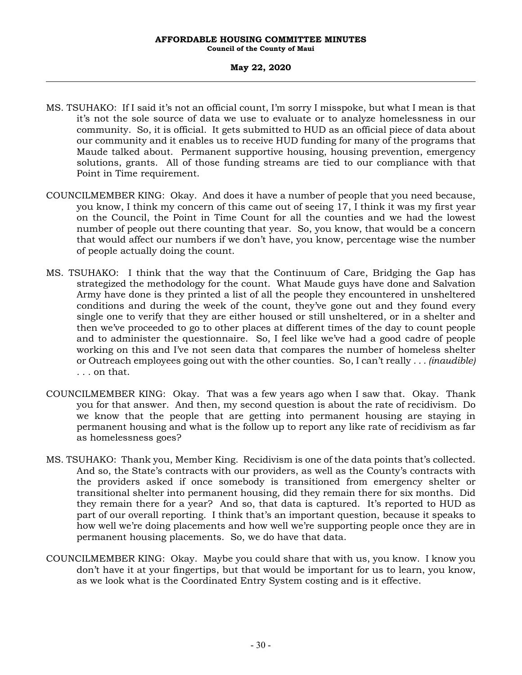- MS. TSUHAKO: If I said it's not an official count, I'm sorry I misspoke, but what I mean is that it's not the sole source of data we use to evaluate or to analyze homelessness in our community. So, it is official. It gets submitted to HUD as an official piece of data about our community and it enables us to receive HUD funding for many of the programs that Maude talked about. Permanent supportive housing, housing prevention, emergency solutions, grants. All of those funding streams are tied to our compliance with that Point in Time requirement.
- COUNCILMEMBER KING: Okay. And does it have a number of people that you need because, you know, I think my concern of this came out of seeing 17, I think it was my first year on the Council, the Point in Time Count for all the counties and we had the lowest number of people out there counting that year. So, you know, that would be a concern that would affect our numbers if we don't have, you know, percentage wise the number of people actually doing the count.
- MS. TSUHAKO: I think that the way that the Continuum of Care, Bridging the Gap has strategized the methodology for the count. What Maude guys have done and Salvation Army have done is they printed a list of all the people they encountered in unsheltered conditions and during the week of the count, they've gone out and they found every single one to verify that they are either housed or still unsheltered, or in a shelter and then we've proceeded to go to other places at different times of the day to count people and to administer the questionnaire. So, I feel like we've had a good cadre of people working on this and I've not seen data that compares the number of homeless shelter or Outreach employees going out with the other counties. So, I can't really *. . . (inaudible) . . .* on that.
- COUNCILMEMBER KING: Okay. That was a few years ago when I saw that. Okay. Thank you for that answer. And then, my second question is about the rate of recidivism. Do we know that the people that are getting into permanent housing are staying in permanent housing and what is the follow up to report any like rate of recidivism as far as homelessness goes?
- MS. TSUHAKO: Thank you, Member King. Recidivism is one of the data points that's collected. And so, the State's contracts with our providers, as well as the County's contracts with the providers asked if once somebody is transitioned from emergency shelter or transitional shelter into permanent housing, did they remain there for six months. Did they remain there for a year? And so, that data is captured. It's reported to HUD as part of our overall reporting. I think that's an important question, because it speaks to how well we're doing placements and how well we're supporting people once they are in permanent housing placements. So, we do have that data.
- COUNCILMEMBER KING: Okay. Maybe you could share that with us, you know. I know you don't have it at your fingertips, but that would be important for us to learn, you know, as we look what is the Coordinated Entry System costing and is it effective.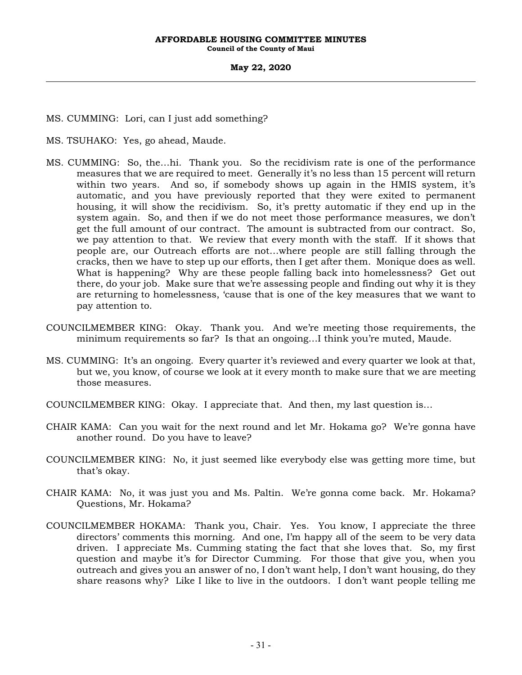- MS. CUMMING: Lori, can I just add something?
- MS. TSUHAKO: Yes, go ahead, Maude.
- MS. CUMMING: So, the…hi. Thank you. So the recidivism rate is one of the performance measures that we are required to meet. Generally it's no less than 15 percent will return within two years. And so, if somebody shows up again in the HMIS system, it's automatic, and you have previously reported that they were exited to permanent housing, it will show the recidivism. So, it's pretty automatic if they end up in the system again. So, and then if we do not meet those performance measures, we don't get the full amount of our contract. The amount is subtracted from our contract. So, we pay attention to that. We review that every month with the staff. If it shows that people are, our Outreach efforts are not…where people are still falling through the cracks, then we have to step up our efforts, then I get after them. Monique does as well. What is happening? Why are these people falling back into homelessness? Get out there, do your job. Make sure that we're assessing people and finding out why it is they are returning to homelessness, 'cause that is one of the key measures that we want to pay attention to.
- COUNCILMEMBER KING: Okay. Thank you. And we're meeting those requirements, the minimum requirements so far? Is that an ongoing…I think you're muted, Maude.
- MS. CUMMING: It's an ongoing. Every quarter it's reviewed and every quarter we look at that, but we, you know, of course we look at it every month to make sure that we are meeting those measures.
- COUNCILMEMBER KING: Okay. I appreciate that. And then, my last question is…
- CHAIR KAMA: Can you wait for the next round and let Mr. Hokama go? We're gonna have another round. Do you have to leave?
- COUNCILMEMBER KING: No, it just seemed like everybody else was getting more time, but that's okay.
- CHAIR KAMA: No, it was just you and Ms. Paltin. We're gonna come back. Mr. Hokama? Questions, Mr. Hokama?
- COUNCILMEMBER HOKAMA: Thank you, Chair. Yes. You know, I appreciate the three directors' comments this morning. And one, I'm happy all of the seem to be very data driven. I appreciate Ms. Cumming stating the fact that she loves that. So, my first question and maybe it's for Director Cumming. For those that give you, when you outreach and gives you an answer of no, I don't want help, I don't want housing, do they share reasons why? Like I like to live in the outdoors. I don't want people telling me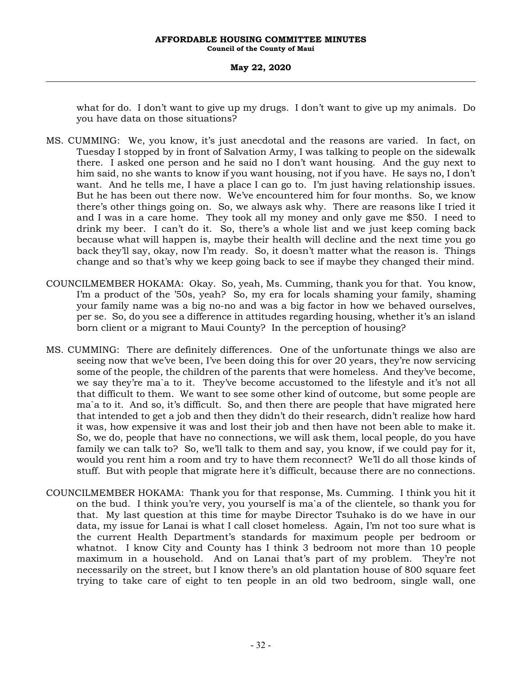# **May 22, 2020**

what for do. I don't want to give up my drugs. I don't want to give up my animals. Do you have data on those situations?

- MS. CUMMING: We, you know, it's just anecdotal and the reasons are varied. In fact, on Tuesday I stopped by in front of Salvation Army, I was talking to people on the sidewalk there. I asked one person and he said no I don't want housing. And the guy next to him said, no she wants to know if you want housing, not if you have. He says no, I don't want. And he tells me, I have a place I can go to. I'm just having relationship issues. But he has been out there now. We've encountered him for four months. So, we know there's other things going on. So, we always ask why. There are reasons like I tried it and I was in a care home. They took all my money and only gave me \$50. I need to drink my beer. I can't do it. So, there's a whole list and we just keep coming back because what will happen is, maybe their health will decline and the next time you go back they'll say, okay, now I'm ready. So, it doesn't matter what the reason is. Things change and so that's why we keep going back to see if maybe they changed their mind.
- COUNCILMEMBER HOKAMA: Okay. So, yeah, Ms. Cumming, thank you for that. You know, I'm a product of the '50s, yeah? So, my era for locals shaming your family, shaming your family name was a big no-no and was a big factor in how we behaved ourselves, per se. So, do you see a difference in attitudes regarding housing, whether it's an island born client or a migrant to Maui County? In the perception of housing?
- MS. CUMMING: There are definitely differences. One of the unfortunate things we also are seeing now that we've been, I've been doing this for over 20 years, they're now servicing some of the people, the children of the parents that were homeless. And they've become, we say they're ma`a to it. They've become accustomed to the lifestyle and it's not all that difficult to them. We want to see some other kind of outcome, but some people are ma`a to it. And so, it's difficult. So, and then there are people that have migrated here that intended to get a job and then they didn't do their research, didn't realize how hard it was, how expensive it was and lost their job and then have not been able to make it. So, we do, people that have no connections, we will ask them, local people, do you have family we can talk to? So, we'll talk to them and say, you know, if we could pay for it, would you rent him a room and try to have them reconnect? We'll do all those kinds of stuff. But with people that migrate here it's difficult, because there are no connections.
- COUNCILMEMBER HOKAMA: Thank you for that response, Ms. Cumming. I think you hit it on the bud. I think you're very, you yourself is ma`a of the clientele, so thank you for that. My last question at this time for maybe Director Tsuhako is do we have in our data, my issue for Lanai is what I call closet homeless. Again, I'm not too sure what is the current Health Department's standards for maximum people per bedroom or whatnot. I know City and County has I think 3 bedroom not more than 10 people maximum in a household. And on Lanai that's part of my problem. They're not necessarily on the street, but I know there's an old plantation house of 800 square feet trying to take care of eight to ten people in an old two bedroom, single wall, one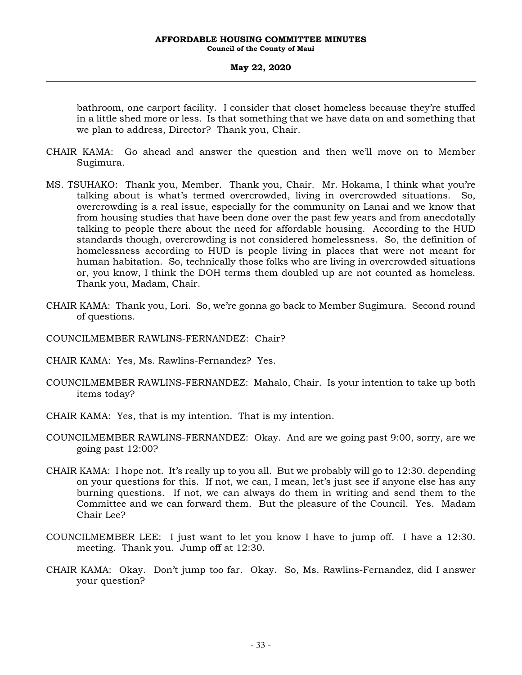# **May 22, 2020**

bathroom, one carport facility. I consider that closet homeless because they're stuffed in a little shed more or less. Is that something that we have data on and something that we plan to address, Director? Thank you, Chair.

- CHAIR KAMA: Go ahead and answer the question and then we'll move on to Member Sugimura.
- MS. TSUHAKO: Thank you, Member. Thank you, Chair. Mr. Hokama, I think what you're talking about is what's termed overcrowded, living in overcrowded situations. So, overcrowding is a real issue, especially for the community on Lanai and we know that from housing studies that have been done over the past few years and from anecdotally talking to people there about the need for affordable housing. According to the HUD standards though, overcrowding is not considered homelessness. So, the definition of homelessness according to HUD is people living in places that were not meant for human habitation. So, technically those folks who are living in overcrowded situations or, you know, I think the DOH terms them doubled up are not counted as homeless. Thank you, Madam, Chair.
- CHAIR KAMA: Thank you, Lori. So, we're gonna go back to Member Sugimura. Second round of questions.
- COUNCILMEMBER RAWLINS-FERNANDEZ: Chair?
- CHAIR KAMA: Yes, Ms. Rawlins-Fernandez? Yes.
- COUNCILMEMBER RAWLINS-FERNANDEZ: Mahalo, Chair. Is your intention to take up both items today?
- CHAIR KAMA: Yes, that is my intention. That is my intention.
- COUNCILMEMBER RAWLINS-FERNANDEZ: Okay. And are we going past 9:00, sorry, are we going past 12:00?
- CHAIR KAMA: I hope not. It's really up to you all. But we probably will go to 12:30. depending on your questions for this. If not, we can, I mean, let's just see if anyone else has any burning questions. If not, we can always do them in writing and send them to the Committee and we can forward them. But the pleasure of the Council. Yes. Madam Chair Lee?
- COUNCILMEMBER LEE: I just want to let you know I have to jump off. I have a 12:30. meeting. Thank you. Jump off at 12:30.
- CHAIR KAMA: Okay. Don't jump too far. Okay. So, Ms. Rawlins-Fernandez, did I answer your question?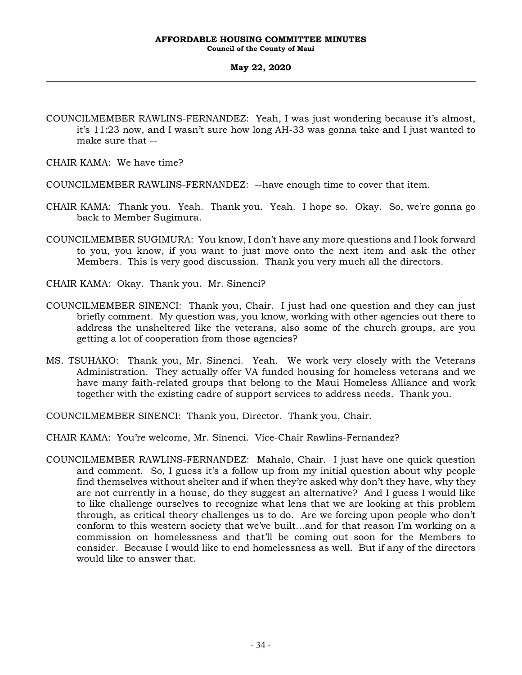# **May 22, 2020**

COUNCILMEMBER RAWLINS-FERNANDEZ: Yeah, I was just wondering because it's almost, it's 11:23 now, and I wasn't sure how long AH-33 was gonna take and I just wanted to make sure that --

CHAIR KAMA: We have time?

- COUNCILMEMBER RAWLINS-FERNANDEZ: --have enough time to cover that item.
- CHAIR KAMA: Thank you. Yeah. Thank you. Yeah. I hope so. Okay. So, we're gonna go back to Member Sugimura.
- COUNCILMEMBER SUGIMURA: You know, I don't have any more questions and I look forward to you, you know, if you want to just move onto the next item and ask the other Members. This is very good discussion. Thank you very much all the directors.
- CHAIR KAMA: Okay. Thank you. Mr. Sinenci?
- COUNCILMEMBER SINENCI: Thank you, Chair. I just had one question and they can just briefly comment. My question was, you know, working with other agencies out there to address the unsheltered like the veterans, also some of the church groups, are you getting a lot of cooperation from those agencies?
- MS. TSUHAKO: Thank you, Mr. Sinenci. Yeah. We work very closely with the Veterans Administration. They actually offer VA funded housing for homeless veterans and we have many faith-related groups that belong to the Maui Homeless Alliance and work together with the existing cadre of support services to address needs. Thank you.
- COUNCILMEMBER SINENCI: Thank you, Director. Thank you, Chair.
- CHAIR KAMA: You're welcome, Mr. Sinenci. Vice-Chair Rawlins-Fernandez?
- COUNCILMEMBER RAWLINS-FERNANDEZ: Mahalo, Chair. I just have one quick question and comment. So, I guess it's a follow up from my initial question about why people find themselves without shelter and if when they're asked why don't they have, why they are not currently in a house, do they suggest an alternative? And I guess I would like to like challenge ourselves to recognize what lens that we are looking at this problem through, as critical theory challenges us to do. Are we forcing upon people who don't conform to this western society that we've built…and for that reason I'm working on a commission on homelessness and that'll be coming out soon for the Members to consider. Because I would like to end homelessness as well. But if any of the directors would like to answer that.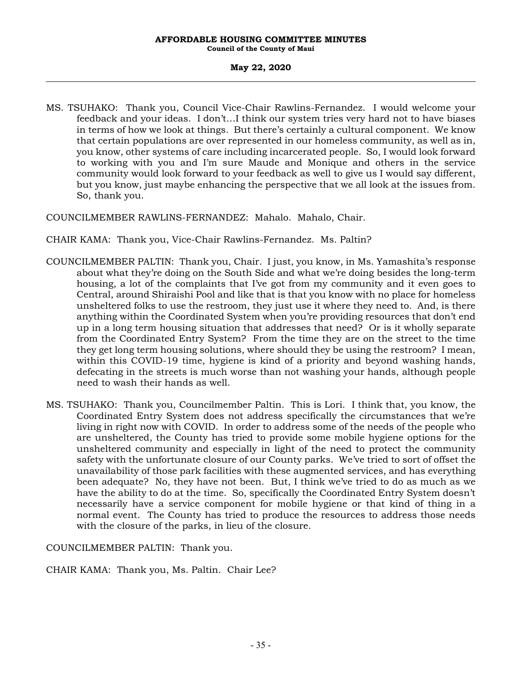# **May 22, 2020**

MS. TSUHAKO: Thank you, Council Vice-Chair Rawlins-Fernandez. I would welcome your feedback and your ideas. I don't…I think our system tries very hard not to have biases in terms of how we look at things. But there's certainly a cultural component. We know that certain populations are over represented in our homeless community, as well as in, you know, other systems of care including incarcerated people. So, I would look forward to working with you and I'm sure Maude and Monique and others in the service community would look forward to your feedback as well to give us I would say different, but you know, just maybe enhancing the perspective that we all look at the issues from. So, thank you.

COUNCILMEMBER RAWLINS-FERNANDEZ: Mahalo. Mahalo, Chair.

CHAIR KAMA: Thank you, Vice-Chair Rawlins-Fernandez. Ms. Paltin?

- COUNCILMEMBER PALTIN: Thank you, Chair. I just, you know, in Ms. Yamashita's response about what they're doing on the South Side and what we're doing besides the long-term housing, a lot of the complaints that I've got from my community and it even goes to Central, around Shiraishi Pool and like that is that you know with no place for homeless unsheltered folks to use the restroom, they just use it where they need to. And, is there anything within the Coordinated System when you're providing resources that don't end up in a long term housing situation that addresses that need? Or is it wholly separate from the Coordinated Entry System? From the time they are on the street to the time they get long term housing solutions, where should they be using the restroom? I mean, within this COVID-19 time, hygiene is kind of a priority and beyond washing hands, defecating in the streets is much worse than not washing your hands, although people need to wash their hands as well.
- MS. TSUHAKO: Thank you, Councilmember Paltin. This is Lori. I think that, you know, the Coordinated Entry System does not address specifically the circumstances that we're living in right now with COVID. In order to address some of the needs of the people who are unsheltered, the County has tried to provide some mobile hygiene options for the unsheltered community and especially in light of the need to protect the community safety with the unfortunate closure of our County parks. We've tried to sort of offset the unavailability of those park facilities with these augmented services, and has everything been adequate? No, they have not been. But, I think we've tried to do as much as we have the ability to do at the time. So, specifically the Coordinated Entry System doesn't necessarily have a service component for mobile hygiene or that kind of thing in a normal event. The County has tried to produce the resources to address those needs with the closure of the parks, in lieu of the closure.

COUNCILMEMBER PALTIN: Thank you.

CHAIR KAMA: Thank you, Ms. Paltin. Chair Lee?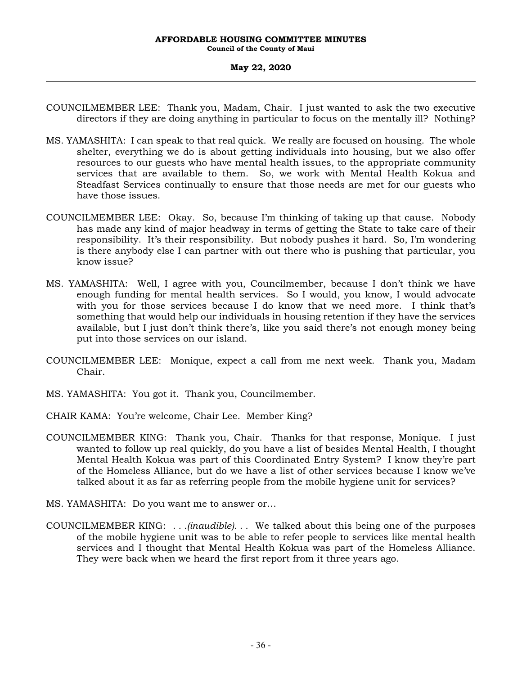- COUNCILMEMBER LEE: Thank you, Madam, Chair. I just wanted to ask the two executive directors if they are doing anything in particular to focus on the mentally ill? Nothing?
- MS. YAMASHITA: I can speak to that real quick. We really are focused on housing. The whole shelter, everything we do is about getting individuals into housing, but we also offer resources to our guests who have mental health issues, to the appropriate community services that are available to them. So, we work with Mental Health Kokua and Steadfast Services continually to ensure that those needs are met for our guests who have those issues.
- COUNCILMEMBER LEE: Okay. So, because I'm thinking of taking up that cause. Nobody has made any kind of major headway in terms of getting the State to take care of their responsibility. It's their responsibility. But nobody pushes it hard. So, I'm wondering is there anybody else I can partner with out there who is pushing that particular, you know issue?
- MS. YAMASHITA: Well, I agree with you, Councilmember, because I don't think we have enough funding for mental health services. So I would, you know, I would advocate with you for those services because I do know that we need more. I think that's something that would help our individuals in housing retention if they have the services available, but I just don't think there's, like you said there's not enough money being put into those services on our island.
- COUNCILMEMBER LEE: Monique, expect a call from me next week. Thank you, Madam Chair.
- MS. YAMASHITA: You got it. Thank you, Councilmember.
- CHAIR KAMA: You're welcome, Chair Lee. Member King?
- COUNCILMEMBER KING: Thank you, Chair. Thanks for that response, Monique. I just wanted to follow up real quickly, do you have a list of besides Mental Health, I thought Mental Health Kokua was part of this Coordinated Entry System? I know they're part of the Homeless Alliance, but do we have a list of other services because I know we've talked about it as far as referring people from the mobile hygiene unit for services?
- MS. YAMASHITA: Do you want me to answer or…
- COUNCILMEMBER KING: *. . .(inaudible). . .* We talked about this being one of the purposes of the mobile hygiene unit was to be able to refer people to services like mental health services and I thought that Mental Health Kokua was part of the Homeless Alliance. They were back when we heard the first report from it three years ago.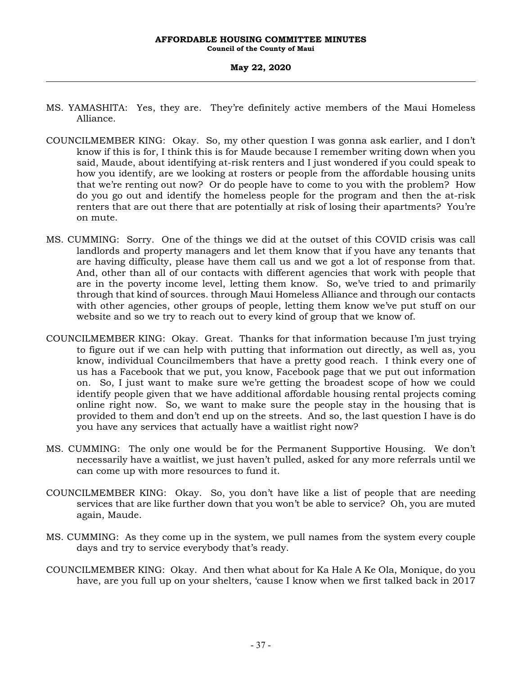- MS. YAMASHITA: Yes, they are. They're definitely active members of the Maui Homeless Alliance.
- COUNCILMEMBER KING: Okay. So, my other question I was gonna ask earlier, and I don't know if this is for, I think this is for Maude because I remember writing down when you said, Maude, about identifying at-risk renters and I just wondered if you could speak to how you identify, are we looking at rosters or people from the affordable housing units that we're renting out now? Or do people have to come to you with the problem? How do you go out and identify the homeless people for the program and then the at-risk renters that are out there that are potentially at risk of losing their apartments? You're on mute.
- MS. CUMMING: Sorry. One of the things we did at the outset of this COVID crisis was call landlords and property managers and let them know that if you have any tenants that are having difficulty, please have them call us and we got a lot of response from that. And, other than all of our contacts with different agencies that work with people that are in the poverty income level, letting them know. So, we've tried to and primarily through that kind of sources. through Maui Homeless Alliance and through our contacts with other agencies, other groups of people, letting them know we've put stuff on our website and so we try to reach out to every kind of group that we know of.
- COUNCILMEMBER KING: Okay. Great. Thanks for that information because I'm just trying to figure out if we can help with putting that information out directly, as well as, you know, individual Councilmembers that have a pretty good reach. I think every one of us has a Facebook that we put, you know, Facebook page that we put out information on. So, I just want to make sure we're getting the broadest scope of how we could identify people given that we have additional affordable housing rental projects coming online right now. So, we want to make sure the people stay in the housing that is provided to them and don't end up on the streets. And so, the last question I have is do you have any services that actually have a waitlist right now?
- MS. CUMMING: The only one would be for the Permanent Supportive Housing. We don't necessarily have a waitlist, we just haven't pulled, asked for any more referrals until we can come up with more resources to fund it.
- COUNCILMEMBER KING: Okay. So, you don't have like a list of people that are needing services that are like further down that you won't be able to service? Oh, you are muted again, Maude.
- MS. CUMMING: As they come up in the system, we pull names from the system every couple days and try to service everybody that's ready.
- COUNCILMEMBER KING: Okay. And then what about for Ka Hale A Ke Ola, Monique, do you have, are you full up on your shelters, 'cause I know when we first talked back in 2017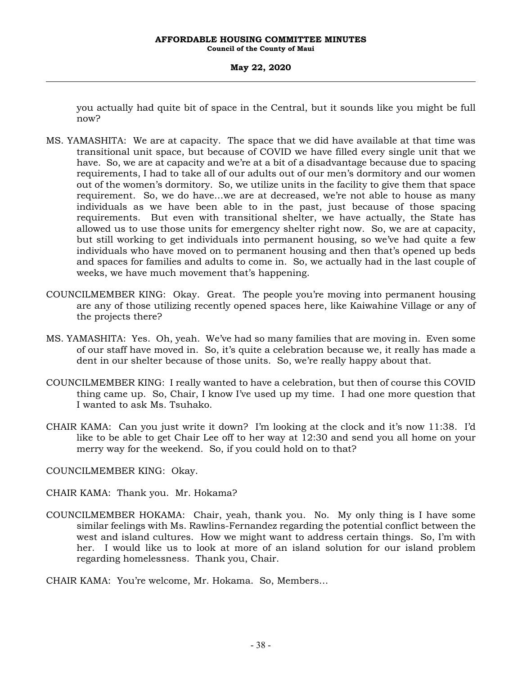# **May 22, 2020**

you actually had quite bit of space in the Central, but it sounds like you might be full now?

- MS. YAMASHITA: We are at capacity. The space that we did have available at that time was transitional unit space, but because of COVID we have filled every single unit that we have. So, we are at capacity and we're at a bit of a disadvantage because due to spacing requirements, I had to take all of our adults out of our men's dormitory and our women out of the women's dormitory. So, we utilize units in the facility to give them that space requirement. So, we do have…we are at decreased, we're not able to house as many individuals as we have been able to in the past, just because of those spacing requirements. But even with transitional shelter, we have actually, the State has allowed us to use those units for emergency shelter right now. So, we are at capacity, but still working to get individuals into permanent housing, so we've had quite a few individuals who have moved on to permanent housing and then that's opened up beds and spaces for families and adults to come in. So, we actually had in the last couple of weeks, we have much movement that's happening.
- COUNCILMEMBER KING: Okay. Great. The people you're moving into permanent housing are any of those utilizing recently opened spaces here, like Kaiwahine Village or any of the projects there?
- MS. YAMASHITA: Yes. Oh, yeah. We've had so many families that are moving in. Even some of our staff have moved in. So, it's quite a celebration because we, it really has made a dent in our shelter because of those units. So, we're really happy about that.
- COUNCILMEMBER KING: I really wanted to have a celebration, but then of course this COVID thing came up. So, Chair, I know I've used up my time. I had one more question that I wanted to ask Ms. Tsuhako.
- CHAIR KAMA: Can you just write it down? I'm looking at the clock and it's now 11:38. I'd like to be able to get Chair Lee off to her way at 12:30 and send you all home on your merry way for the weekend. So, if you could hold on to that?

COUNCILMEMBER KING: Okay.

CHAIR KAMA: Thank you. Mr. Hokama?

COUNCILMEMBER HOKAMA: Chair, yeah, thank you. No. My only thing is I have some similar feelings with Ms. Rawlins-Fernandez regarding the potential conflict between the west and island cultures. How we might want to address certain things. So, I'm with her. I would like us to look at more of an island solution for our island problem regarding homelessness. Thank you, Chair.

CHAIR KAMA: You're welcome, Mr. Hokama. So, Members…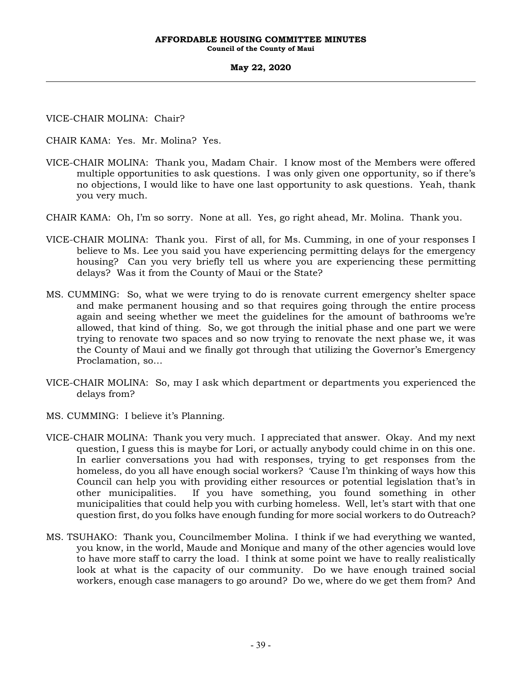# **May 22, 2020**

VICE-CHAIR MOLINA: Chair?

CHAIR KAMA: Yes. Mr. Molina? Yes.

- VICE-CHAIR MOLINA: Thank you, Madam Chair. I know most of the Members were offered multiple opportunities to ask questions. I was only given one opportunity, so if there's no objections, I would like to have one last opportunity to ask questions. Yeah, thank you very much.
- CHAIR KAMA: Oh, I'm so sorry. None at all. Yes, go right ahead, Mr. Molina. Thank you.
- VICE-CHAIR MOLINA: Thank you. First of all, for Ms. Cumming, in one of your responses I believe to Ms. Lee you said you have experiencing permitting delays for the emergency housing? Can you very briefly tell us where you are experiencing these permitting delays? Was it from the County of Maui or the State?
- MS. CUMMING: So, what we were trying to do is renovate current emergency shelter space and make permanent housing and so that requires going through the entire process again and seeing whether we meet the guidelines for the amount of bathrooms we're allowed, that kind of thing. So, we got through the initial phase and one part we were trying to renovate two spaces and so now trying to renovate the next phase we, it was the County of Maui and we finally got through that utilizing the Governor's Emergency Proclamation, so…
- VICE-CHAIR MOLINA: So, may I ask which department or departments you experienced the delays from?
- MS. CUMMING: I believe it's Planning.
- VICE-CHAIR MOLINA: Thank you very much. I appreciated that answer. Okay. And my next question, I guess this is maybe for Lori, or actually anybody could chime in on this one. In earlier conversations you had with responses, trying to get responses from the homeless, do you all have enough social workers? 'Cause I'm thinking of ways how this Council can help you with providing either resources or potential legislation that's in other municipalities. If you have something, you found something in other municipalities that could help you with curbing homeless. Well, let's start with that one question first, do you folks have enough funding for more social workers to do Outreach?
- MS. TSUHAKO: Thank you, Councilmember Molina. I think if we had everything we wanted, you know, in the world, Maude and Monique and many of the other agencies would love to have more staff to carry the load. I think at some point we have to really realistically look at what is the capacity of our community. Do we have enough trained social workers, enough case managers to go around? Do we, where do we get them from? And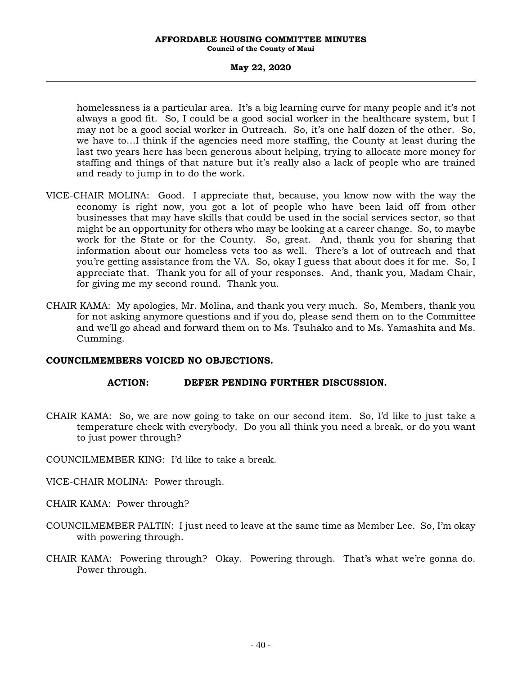# **May 22, 2020**

homelessness is a particular area. It's a big learning curve for many people and it's not always a good fit. So, I could be a good social worker in the healthcare system, but I may not be a good social worker in Outreach. So, it's one half dozen of the other. So, we have to…I think if the agencies need more staffing, the County at least during the last two years here has been generous about helping, trying to allocate more money for staffing and things of that nature but it's really also a lack of people who are trained and ready to jump in to do the work.

- VICE-CHAIR MOLINA: Good. I appreciate that, because, you know now with the way the economy is right now, you got a lot of people who have been laid off from other businesses that may have skills that could be used in the social services sector, so that might be an opportunity for others who may be looking at a career change. So, to maybe work for the State or for the County. So, great. And, thank you for sharing that information about our homeless vets too as well. There's a lot of outreach and that you're getting assistance from the VA. So, okay I guess that about does it for me. So, I appreciate that. Thank you for all of your responses. And, thank you, Madam Chair, for giving me my second round. Thank you.
- CHAIR KAMA: My apologies, Mr. Molina, and thank you very much. So, Members, thank you for not asking anymore questions and if you do, please send them on to the Committee and we'll go ahead and forward them on to Ms. Tsuhako and to Ms. Yamashita and Ms. Cumming.

# **COUNCILMEMBERS VOICED NO OBJECTIONS.**

# **ACTION: DEFER PENDING FURTHER DISCUSSION.**

CHAIR KAMA: So, we are now going to take on our second item. So, I'd like to just take a temperature check with everybody. Do you all think you need a break, or do you want to just power through?

COUNCILMEMBER KING: I'd like to take a break.

- VICE-CHAIR MOLINA: Power through.
- CHAIR KAMA: Power through?
- COUNCILMEMBER PALTIN: I just need to leave at the same time as Member Lee. So, I'm okay with powering through.
- CHAIR KAMA: Powering through? Okay. Powering through. That's what we're gonna do. Power through.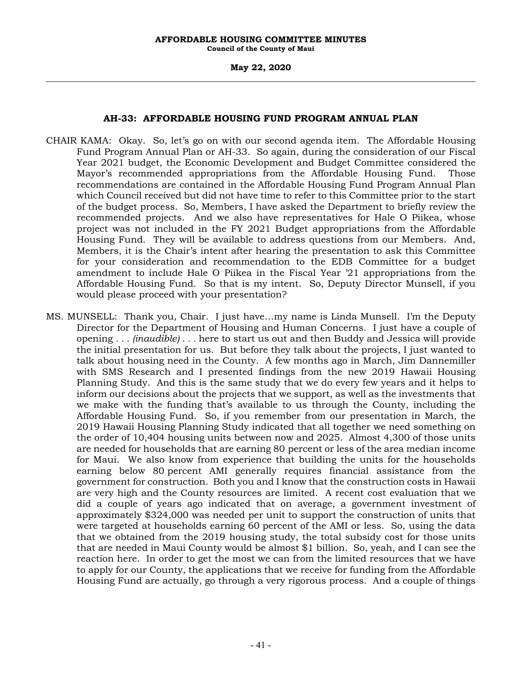# **May 22, 2020**

# **AH-33: AFFORDABLE HOUSING FUND PROGRAM ANNUAL PLAN**

- CHAIR KAMA: Okay. So, let's go on with our second agenda item. The Affordable Housing Fund Program Annual Plan or AH-33. So again, during the consideration of our Fiscal Year 2021 budget, the Economic Development and Budget Committee considered the Mayor's recommended appropriations from the Affordable Housing Fund. Those recommendations are contained in the Affordable Housing Fund Program Annual Plan which Council received but did not have time to refer to this Committee prior to the start of the budget process. So, Members, I have asked the Department to briefly review the recommended projects. And we also have representatives for Hale O Piikea, whose project was not included in the FY 2021 Budget appropriations from the Affordable Housing Fund. They will be available to address questions from our Members. And, Members, it is the Chair's intent after hearing the presentation to ask this Committee for your consideration and recommendation to the EDB Committee for a budget amendment to include Hale O Piikea in the Fiscal Year '21 appropriations from the Affordable Housing Fund. So that is my intent. So, Deputy Director Munsell, if you would please proceed with your presentation?
- MS. MUNSELL: Thank you, Chair. I just have…my name is Linda Munsell. I'm the Deputy Director for the Department of Housing and Human Concerns. I just have a couple of opening *. . . (inaudible) . . .* here to start us out and then Buddy and Jessica will provide the initial presentation for us. But before they talk about the projects, I just wanted to talk about housing need in the County. A few months ago in March, Jim Dannemiller with SMS Research and I presented findings from the new 2019 Hawaii Housing Planning Study. And this is the same study that we do every few years and it helps to inform our decisions about the projects that we support, as well as the investments that we make with the funding that's available to us through the County, including the Affordable Housing Fund. So, if you remember from our presentation in March, the 2019 Hawaii Housing Planning Study indicated that all together we need something on the order of 10,404 housing units between now and 2025. Almost 4,300 of those units are needed for households that are earning 80 percent or less of the area median income for Maui. We also know from experience that building the units for the households earning below 80 percent AMI generally requires financial assistance from the government for construction. Both you and I know that the construction costs in Hawaii are very high and the County resources are limited. A recent cost evaluation that we did a couple of years ago indicated that on average, a government investment of approximately \$324,000 was needed per unit to support the construction of units that were targeted at households earning 60 percent of the AMI or less. So, using the data that we obtained from the 2019 housing study, the total subsidy cost for those units that are needed in Maui County would be almost \$1 billion. So, yeah, and I can see the reaction here. In order to get the most we can from the limited resources that we have to apply for our County, the applications that we receive for funding from the Affordable Housing Fund are actually, go through a very rigorous process. And a couple of things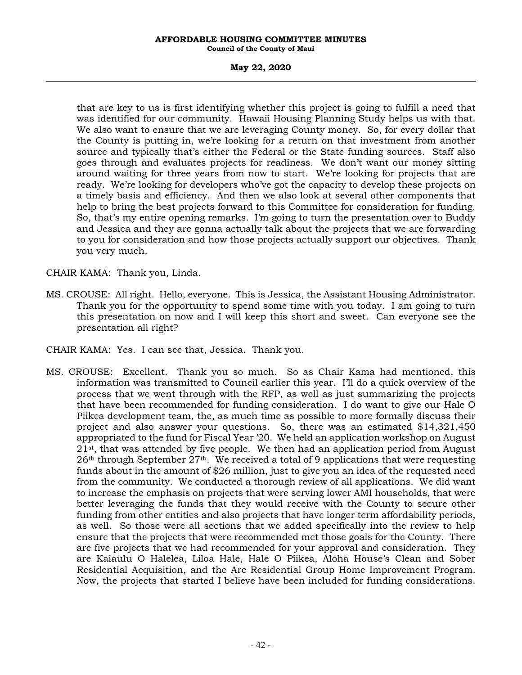# **May 22, 2020**

that are key to us is first identifying whether this project is going to fulfill a need that was identified for our community. Hawaii Housing Planning Study helps us with that. We also want to ensure that we are leveraging County money. So, for every dollar that the County is putting in, we're looking for a return on that investment from another source and typically that's either the Federal or the State funding sources. Staff also goes through and evaluates projects for readiness. We don't want our money sitting around waiting for three years from now to start. We're looking for projects that are ready. We're looking for developers who've got the capacity to develop these projects on a timely basis and efficiency. And then we also look at several other components that help to bring the best projects forward to this Committee for consideration for funding. So, that's my entire opening remarks. I'm going to turn the presentation over to Buddy and Jessica and they are gonna actually talk about the projects that we are forwarding to you for consideration and how those projects actually support our objectives. Thank you very much.

CHAIR KAMA: Thank you, Linda.

- MS. CROUSE: All right. Hello, everyone. This is Jessica, the Assistant Housing Administrator. Thank you for the opportunity to spend some time with you today. I am going to turn this presentation on now and I will keep this short and sweet. Can everyone see the presentation all right?
- CHAIR KAMA: Yes. I can see that, Jessica. Thank you.
- MS. CROUSE: Excellent. Thank you so much. So as Chair Kama had mentioned, this information was transmitted to Council earlier this year. I'll do a quick overview of the process that we went through with the RFP, as well as just summarizing the projects that have been recommended for funding consideration. I do want to give our Hale O Piikea development team, the, as much time as possible to more formally discuss their project and also answer your questions. So, there was an estimated \$14,321,450 appropriated to the fund for Fiscal Year '20. We held an application workshop on August 21st, that was attended by five people. We then had an application period from August 26th through September 27th. We received a total of 9 applications that were requesting funds about in the amount of \$26 million, just to give you an idea of the requested need from the community. We conducted a thorough review of all applications. We did want to increase the emphasis on projects that were serving lower AMI households, that were better leveraging the funds that they would receive with the County to secure other funding from other entities and also projects that have longer term affordability periods, as well. So those were all sections that we added specifically into the review to help ensure that the projects that were recommended met those goals for the County. There are five projects that we had recommended for your approval and consideration. They are Kaiaulu O Halelea, Liloa Hale, Hale O Piikea, Aloha House's Clean and Sober Residential Acquisition, and the Arc Residential Group Home Improvement Program. Now, the projects that started I believe have been included for funding considerations.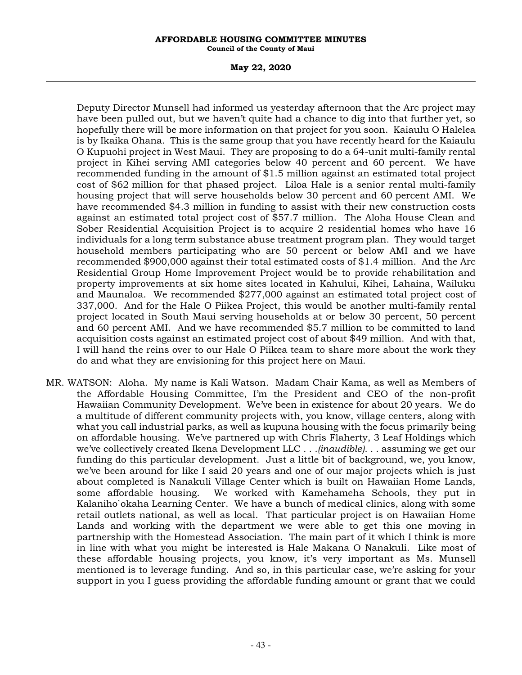# **AFFORDABLE HOUSING COMMITTEE MINUTES**

**Council of the County of Maui** 

## **May 22, 2020**

Deputy Director Munsell had informed us yesterday afternoon that the Arc project may have been pulled out, but we haven't quite had a chance to dig into that further yet, so hopefully there will be more information on that project for you soon. Kaiaulu O Halelea is by Ikaika Ohana. This is the same group that you have recently heard for the Kaiaulu O Kupuohi project in West Maui. They are proposing to do a 64-unit multi-family rental project in Kihei serving AMI categories below 40 percent and 60 percent. We have recommended funding in the amount of \$1.5 million against an estimated total project cost of \$62 million for that phased project. Liloa Hale is a senior rental multi-family housing project that will serve households below 30 percent and 60 percent AMI. We have recommended \$4.3 million in funding to assist with their new construction costs against an estimated total project cost of \$57.7 million. The Aloha House Clean and Sober Residential Acquisition Project is to acquire 2 residential homes who have 16 individuals for a long term substance abuse treatment program plan. They would target household members participating who are 50 percent or below AMI and we have recommended \$900,000 against their total estimated costs of \$1.4 million. And the Arc Residential Group Home Improvement Project would be to provide rehabilitation and property improvements at six home sites located in Kahului, Kihei, Lahaina, Wailuku and Maunaloa. We recommended \$277,000 against an estimated total project cost of 337,000. And for the Hale O Piikea Project, this would be another multi-family rental project located in South Maui serving households at or below 30 percent, 50 percent and 60 percent AMI. And we have recommended \$5.7 million to be committed to land acquisition costs against an estimated project cost of about \$49 million. And with that, I will hand the reins over to our Hale O Piikea team to share more about the work they do and what they are envisioning for this project here on Maui.

MR. WATSON: Aloha. My name is Kali Watson. Madam Chair Kama, as well as Members of the Affordable Housing Committee, I'm the President and CEO of the non-profit Hawaiian Community Development. We've been in existence for about 20 years. We do a multitude of different community projects with, you know, village centers, along with what you call industrial parks, as well as kupuna housing with the focus primarily being on affordable housing. We've partnered up with Chris Flaherty, 3 Leaf Holdings which we've collectively created Ikena Development LLC *. . .(inaudible). . .* assuming we get our funding do this particular development. Just a little bit of background, we, you know, we've been around for like I said 20 years and one of our major projects which is just about completed is Nanakuli Village Center which is built on Hawaiian Home Lands, some affordable housing. We worked with Kamehameha Schools, they put in Kalaniho`okaha Learning Center. We have a bunch of medical clinics, along with some retail outlets national, as well as local. That particular project is on Hawaiian Home Lands and working with the department we were able to get this one moving in partnership with the Homestead Association. The main part of it which I think is more in line with what you might be interested is Hale Makana O Nanakuli. Like most of these affordable housing projects, you know, it's very important as Ms. Munsell mentioned is to leverage funding. And so, in this particular case, we're asking for your support in you I guess providing the affordable funding amount or grant that we could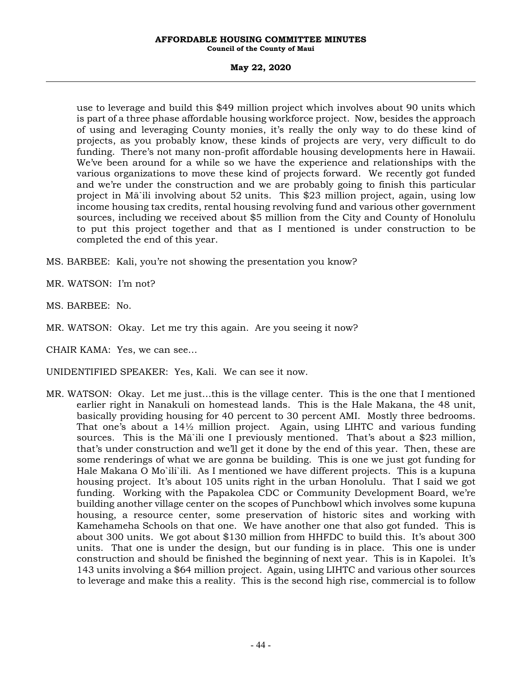# **May 22, 2020**

use to leverage and build this \$49 million project which involves about 90 units which is part of a three phase affordable housing workforce project. Now, besides the approach of using and leveraging County monies, it's really the only way to do these kind of projects, as you probably know, these kinds of projects are very, very difficult to do funding. There's not many non-profit affordable housing developments here in Hawaii. We've been around for a while so we have the experience and relationships with the various organizations to move these kind of projects forward. We recently got funded and we're under the construction and we are probably going to finish this particular project in Mā`ili involving about 52 units. This \$23 million project, again, using low income housing tax credits, rental housing revolving fund and various other government sources, including we received about \$5 million from the City and County of Honolulu to put this project together and that as I mentioned is under construction to be completed the end of this year.

MS. BARBEE: Kali, you're not showing the presentation you know?

- MR. WATSON: I'm not?
- MS. BARBEE: No.
- MR. WATSON: Okay. Let me try this again. Are you seeing it now?
- CHAIR KAMA: Yes, we can see…

UNIDENTIFIED SPEAKER: Yes, Kali. We can see it now.

MR. WATSON: Okay. Let me just…this is the village center. This is the one that I mentioned earlier right in Nanakuli on homestead lands. This is the Hale Makana, the 48 unit, basically providing housing for 40 percent to 30 percent AMI. Mostly three bedrooms. That one's about a 14½ million project. Again, using LIHTC and various funding sources. This is the Mā`ili one I previously mentioned. That's about a \$23 million, that's under construction and we'll get it done by the end of this year. Then, these are some renderings of what we are gonna be building. This is one we just got funding for Hale Makana O Mo`ili`ili. As I mentioned we have different projects. This is a kupuna housing project. It's about 105 units right in the urban Honolulu. That I said we got funding. Working with the Papakolea CDC or Community Development Board, we're building another village center on the scopes of Punchbowl which involves some kupuna housing, a resource center, some preservation of historic sites and working with Kamehameha Schools on that one. We have another one that also got funded. This is about 300 units. We got about \$130 million from HHFDC to build this. It's about 300 units. That one is under the design, but our funding is in place. This one is under construction and should be finished the beginning of next year. This is in Kapolei. It's 143 units involving a \$64 million project. Again, using LIHTC and various other sources to leverage and make this a reality. This is the second high rise, commercial is to follow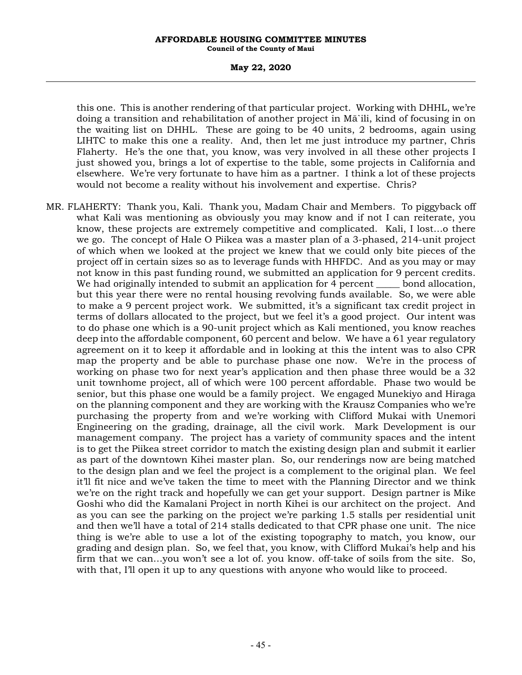# **May 22, 2020**

this one. This is another rendering of that particular project. Working with DHHL, we're doing a transition and rehabilitation of another project in Mā`ili, kind of focusing in on the waiting list on DHHL. These are going to be 40 units, 2 bedrooms, again using LIHTC to make this one a reality. And, then let me just introduce my partner, Chris Flaherty. He's the one that, you know, was very involved in all these other projects I just showed you, brings a lot of expertise to the table, some projects in California and elsewhere. We're very fortunate to have him as a partner. I think a lot of these projects would not become a reality without his involvement and expertise. Chris?

MR. FLAHERTY: Thank you, Kali. Thank you, Madam Chair and Members. To piggyback off what Kali was mentioning as obviously you may know and if not I can reiterate, you know, these projects are extremely competitive and complicated. Kali, I lost…o there we go. The concept of Hale O Piikea was a master plan of a 3-phased, 214-unit project of which when we looked at the project we knew that we could only bite pieces of the project off in certain sizes so as to leverage funds with HHFDC. And as you may or may not know in this past funding round, we submitted an application for 9 percent credits. We had originally intended to submit an application for 4 percent \_\_\_\_\_ bond allocation, but this year there were no rental housing revolving funds available. So, we were able to make a 9 percent project work. We submitted, it's a significant tax credit project in terms of dollars allocated to the project, but we feel it's a good project. Our intent was to do phase one which is a 90-unit project which as Kali mentioned, you know reaches deep into the affordable component, 60 percent and below. We have a 61 year regulatory agreement on it to keep it affordable and in looking at this the intent was to also CPR map the property and be able to purchase phase one now. We're in the process of working on phase two for next year's application and then phase three would be a 32 unit townhome project, all of which were 100 percent affordable. Phase two would be senior, but this phase one would be a family project. We engaged Munekiyo and Hiraga on the planning component and they are working with the Krausz Companies who we're purchasing the property from and we're working with Clifford Mukai with Unemori Engineering on the grading, drainage, all the civil work. Mark Development is our management company. The project has a variety of community spaces and the intent is to get the Piikea street corridor to match the existing design plan and submit it earlier as part of the downtown Kihei master plan. So, our renderings now are being matched to the design plan and we feel the project is a complement to the original plan. We feel it'll fit nice and we've taken the time to meet with the Planning Director and we think we're on the right track and hopefully we can get your support. Design partner is Mike Goshi who did the Kamalani Project in north Kihei is our architect on the project. And as you can see the parking on the project we're parking 1.5 stalls per residential unit and then we'll have a total of 214 stalls dedicated to that CPR phase one unit. The nice thing is we're able to use a lot of the existing topography to match, you know, our grading and design plan. So, we feel that, you know, with Clifford Mukai's help and his firm that we can…you won't see a lot of. you know. off-take of soils from the site. So, with that, I'll open it up to any questions with anyone who would like to proceed.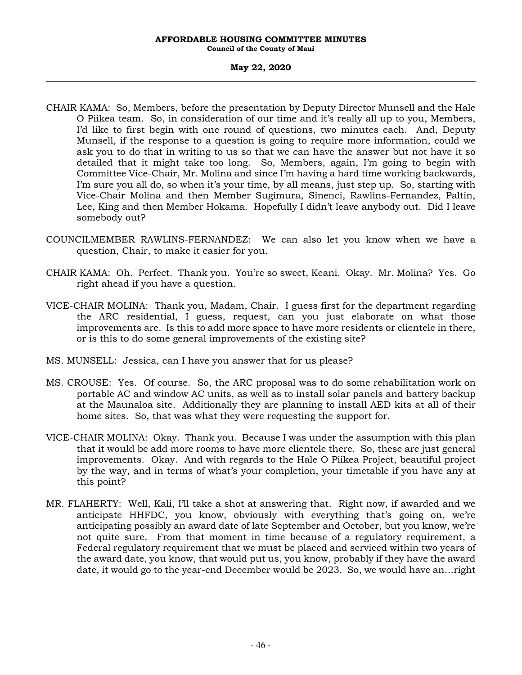- CHAIR KAMA: So, Members, before the presentation by Deputy Director Munsell and the Hale O Piikea team. So, in consideration of our time and it's really all up to you, Members, I'd like to first begin with one round of questions, two minutes each. And, Deputy Munsell, if the response to a question is going to require more information, could we ask you to do that in writing to us so that we can have the answer but not have it so detailed that it might take too long. So, Members, again, I'm going to begin with Committee Vice-Chair, Mr. Molina and since I'm having a hard time working backwards, I'm sure you all do, so when it's your time, by all means, just step up. So, starting with Vice-Chair Molina and then Member Sugimura, Sinenci, Rawlins-Fernandez, Paltin, Lee, King and then Member Hokama. Hopefully I didn't leave anybody out. Did I leave somebody out?
- COUNCILMEMBER RAWLINS-FERNANDEZ: We can also let you know when we have a question, Chair, to make it easier for you.
- CHAIR KAMA: Oh. Perfect. Thank you. You're so sweet, Keani. Okay. Mr. Molina? Yes. Go right ahead if you have a question.
- VICE-CHAIR MOLINA: Thank you, Madam, Chair. I guess first for the department regarding the ARC residential, I guess, request, can you just elaborate on what those improvements are. Is this to add more space to have more residents or clientele in there, or is this to do some general improvements of the existing site?
- MS. MUNSELL: Jessica, can I have you answer that for us please?
- MS. CROUSE: Yes. Of course. So, the ARC proposal was to do some rehabilitation work on portable AC and window AC units, as well as to install solar panels and battery backup at the Maunaloa site. Additionally they are planning to install AED kits at all of their home sites. So, that was what they were requesting the support for.
- VICE-CHAIR MOLINA: Okay. Thank you. Because I was under the assumption with this plan that it would be add more rooms to have more clientele there. So, these are just general improvements. Okay. And with regards to the Hale O Piikea Project, beautiful project by the way, and in terms of what's your completion, your timetable if you have any at this point?
- MR. FLAHERTY: Well, Kali, I'll take a shot at answering that. Right now, if awarded and we anticipate HHFDC, you know, obviously with everything that's going on, we're anticipating possibly an award date of late September and October, but you know, we're not quite sure. From that moment in time because of a regulatory requirement, a Federal regulatory requirement that we must be placed and serviced within two years of the award date, you know, that would put us, you know, probably if they have the award date, it would go to the year-end December would be 2023. So, we would have an…right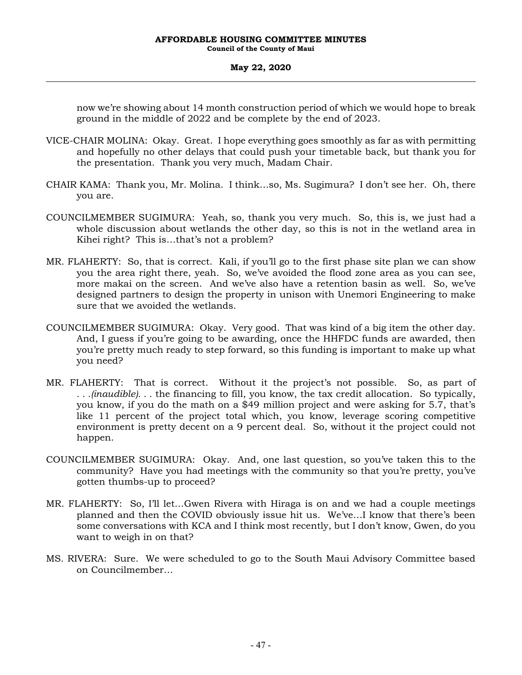# **May 22, 2020**

now we're showing about 14 month construction period of which we would hope to break ground in the middle of 2022 and be complete by the end of 2023.

- VICE-CHAIR MOLINA: Okay. Great. I hope everything goes smoothly as far as with permitting and hopefully no other delays that could push your timetable back, but thank you for the presentation. Thank you very much, Madam Chair.
- CHAIR KAMA: Thank you, Mr. Molina. I think…so, Ms. Sugimura? I don't see her. Oh, there you are.
- COUNCILMEMBER SUGIMURA: Yeah, so, thank you very much. So, this is, we just had a whole discussion about wetlands the other day, so this is not in the wetland area in Kihei right? This is...that's not a problem?
- MR. FLAHERTY: So, that is correct. Kali, if you'll go to the first phase site plan we can show you the area right there, yeah. So, we've avoided the flood zone area as you can see, more makai on the screen. And we've also have a retention basin as well. So, we've designed partners to design the property in unison with Unemori Engineering to make sure that we avoided the wetlands.
- COUNCILMEMBER SUGIMURA: Okay. Very good. That was kind of a big item the other day. And, I guess if you're going to be awarding, once the HHFDC funds are awarded, then you're pretty much ready to step forward, so this funding is important to make up what you need?
- MR. FLAHERTY: That is correct. Without it the project's not possible. So, as part of *. . .(inaudible). . .* the financing to fill, you know, the tax credit allocation. So typically, you know, if you do the math on a \$49 million project and were asking for 5.7, that's like 11 percent of the project total which, you know, leverage scoring competitive environment is pretty decent on a 9 percent deal. So, without it the project could not happen.
- COUNCILMEMBER SUGIMURA: Okay. And, one last question, so you've taken this to the community? Have you had meetings with the community so that you're pretty, you've gotten thumbs-up to proceed?
- MR. FLAHERTY: So, I'll let…Gwen Rivera with Hiraga is on and we had a couple meetings planned and then the COVID obviously issue hit us. We've…I know that there's been some conversations with KCA and I think most recently, but I don't know, Gwen, do you want to weigh in on that?
- MS. RIVERA: Sure. We were scheduled to go to the South Maui Advisory Committee based on Councilmember…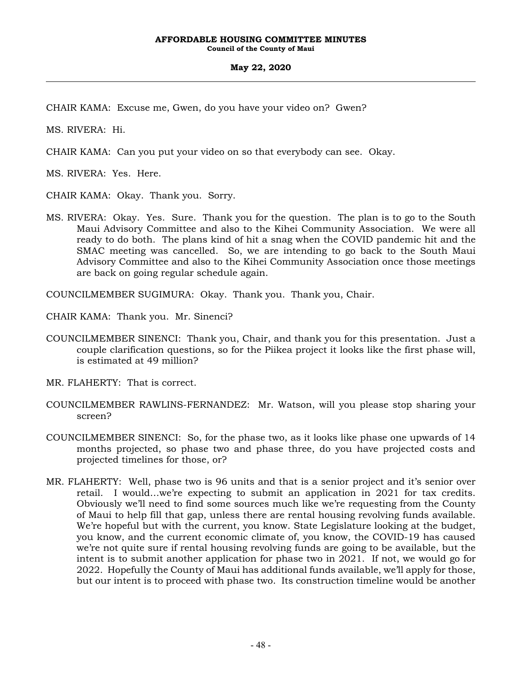# **May 22, 2020**

CHAIR KAMA: Excuse me, Gwen, do you have your video on? Gwen?

MS. RIVERA: Hi.

CHAIR KAMA: Can you put your video on so that everybody can see. Okay.

MS. RIVERA: Yes. Here.

CHAIR KAMA: Okay. Thank you. Sorry.

MS. RIVERA: Okay. Yes. Sure. Thank you for the question. The plan is to go to the South Maui Advisory Committee and also to the Kihei Community Association. We were all ready to do both. The plans kind of hit a snag when the COVID pandemic hit and the SMAC meeting was cancelled. So, we are intending to go back to the South Maui Advisory Committee and also to the Kihei Community Association once those meetings are back on going regular schedule again.

COUNCILMEMBER SUGIMURA: Okay. Thank you. Thank you, Chair.

CHAIR KAMA: Thank you. Mr. Sinenci?

COUNCILMEMBER SINENCI: Thank you, Chair, and thank you for this presentation. Just a couple clarification questions, so for the Piikea project it looks like the first phase will, is estimated at 49 million?

MR. FLAHERTY: That is correct.

- COUNCILMEMBER RAWLINS-FERNANDEZ: Mr. Watson, will you please stop sharing your screen?
- COUNCILMEMBER SINENCI: So, for the phase two, as it looks like phase one upwards of 14 months projected, so phase two and phase three, do you have projected costs and projected timelines for those, or?
- MR. FLAHERTY: Well, phase two is 96 units and that is a senior project and it's senior over retail. I would…we're expecting to submit an application in 2021 for tax credits. Obviously we'll need to find some sources much like we're requesting from the County of Maui to help fill that gap, unless there are rental housing revolving funds available. We're hopeful but with the current, you know. State Legislature looking at the budget, you know, and the current economic climate of, you know, the COVID-19 has caused we're not quite sure if rental housing revolving funds are going to be available, but the intent is to submit another application for phase two in 2021. If not, we would go for 2022. Hopefully the County of Maui has additional funds available, we'll apply for those, but our intent is to proceed with phase two. Its construction timeline would be another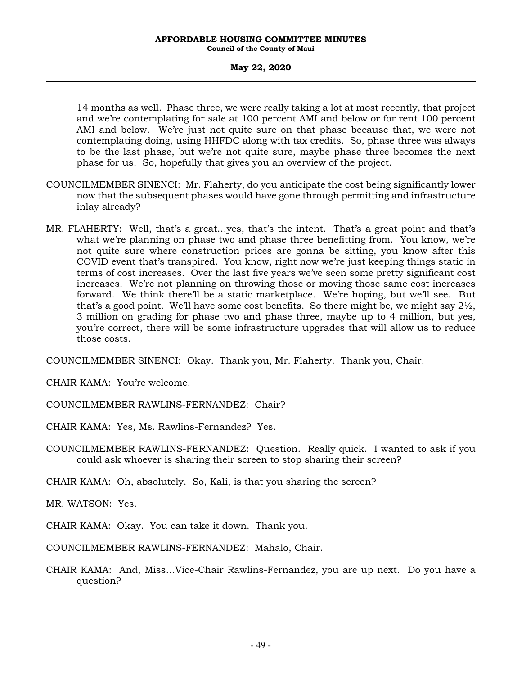# **May 22, 2020**

14 months as well. Phase three, we were really taking a lot at most recently, that project and we're contemplating for sale at 100 percent AMI and below or for rent 100 percent AMI and below. We're just not quite sure on that phase because that, we were not contemplating doing, using HHFDC along with tax credits. So, phase three was always to be the last phase, but we're not quite sure, maybe phase three becomes the next phase for us. So, hopefully that gives you an overview of the project.

- COUNCILMEMBER SINENCI: Mr. Flaherty, do you anticipate the cost being significantly lower now that the subsequent phases would have gone through permitting and infrastructure inlay already?
- MR. FLAHERTY: Well, that's a great…yes, that's the intent. That's a great point and that's what we're planning on phase two and phase three benefitting from. You know, we're not quite sure where construction prices are gonna be sitting, you know after this COVID event that's transpired. You know, right now we're just keeping things static in terms of cost increases. Over the last five years we've seen some pretty significant cost increases. We're not planning on throwing those or moving those same cost increases forward. We think there'll be a static marketplace. We're hoping, but we'll see. But that's a good point. We'll have some cost benefits. So there might be, we might say  $2\frac{1}{2}$ , 3 million on grading for phase two and phase three, maybe up to 4 million, but yes, you're correct, there will be some infrastructure upgrades that will allow us to reduce those costs.

COUNCILMEMBER SINENCI: Okay. Thank you, Mr. Flaherty. Thank you, Chair.

CHAIR KAMA: You're welcome.

COUNCILMEMBER RAWLINS-FERNANDEZ: Chair?

CHAIR KAMA: Yes, Ms. Rawlins-Fernandez? Yes.

COUNCILMEMBER RAWLINS-FERNANDEZ: Question. Really quick. I wanted to ask if you could ask whoever is sharing their screen to stop sharing their screen?

CHAIR KAMA: Oh, absolutely. So, Kali, is that you sharing the screen?

MR. WATSON: Yes.

CHAIR KAMA: Okay. You can take it down. Thank you.

COUNCILMEMBER RAWLINS-FERNANDEZ: Mahalo, Chair.

CHAIR KAMA: And, Miss…Vice-Chair Rawlins-Fernandez, you are up next. Do you have a question?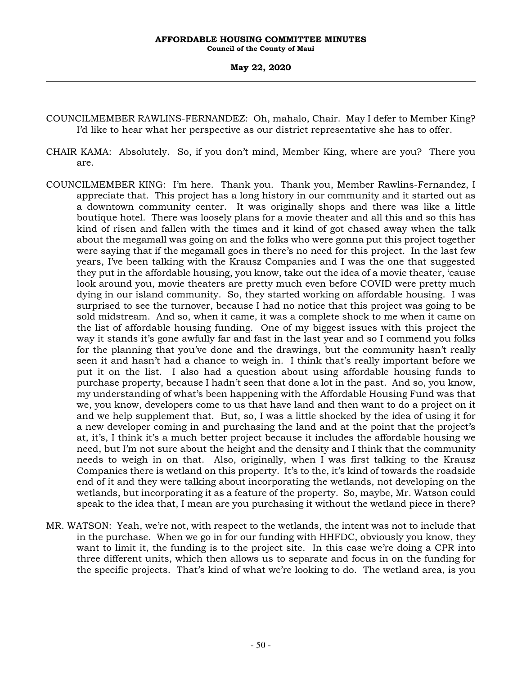- COUNCILMEMBER RAWLINS-FERNANDEZ: Oh, mahalo, Chair. May I defer to Member King? I'd like to hear what her perspective as our district representative she has to offer.
- CHAIR KAMA: Absolutely. So, if you don't mind, Member King, where are you? There you are.
- COUNCILMEMBER KING: I'm here. Thank you. Thank you, Member Rawlins-Fernandez, I appreciate that. This project has a long history in our community and it started out as a downtown community center. It was originally shops and there was like a little boutique hotel. There was loosely plans for a movie theater and all this and so this has kind of risen and fallen with the times and it kind of got chased away when the talk about the megamall was going on and the folks who were gonna put this project together were saying that if the megamall goes in there's no need for this project. In the last few years, I've been talking with the Krausz Companies and I was the one that suggested they put in the affordable housing, you know, take out the idea of a movie theater, 'cause look around you, movie theaters are pretty much even before COVID were pretty much dying in our island community. So, they started working on affordable housing. I was surprised to see the turnover, because I had no notice that this project was going to be sold midstream. And so, when it came, it was a complete shock to me when it came on the list of affordable housing funding. One of my biggest issues with this project the way it stands it's gone awfully far and fast in the last year and so I commend you folks for the planning that you've done and the drawings, but the community hasn't really seen it and hasn't had a chance to weigh in. I think that's really important before we put it on the list. I also had a question about using affordable housing funds to purchase property, because I hadn't seen that done a lot in the past. And so, you know, my understanding of what's been happening with the Affordable Housing Fund was that we, you know, developers come to us that have land and then want to do a project on it and we help supplement that. But, so, I was a little shocked by the idea of using it for a new developer coming in and purchasing the land and at the point that the project's at, it's, I think it's a much better project because it includes the affordable housing we need, but I'm not sure about the height and the density and I think that the community needs to weigh in on that. Also, originally, when I was first talking to the Krausz Companies there is wetland on this property. It's to the, it's kind of towards the roadside end of it and they were talking about incorporating the wetlands, not developing on the wetlands, but incorporating it as a feature of the property. So, maybe, Mr. Watson could speak to the idea that, I mean are you purchasing it without the wetland piece in there?
- MR. WATSON: Yeah, we're not, with respect to the wetlands, the intent was not to include that in the purchase. When we go in for our funding with HHFDC, obviously you know, they want to limit it, the funding is to the project site. In this case we're doing a CPR into three different units, which then allows us to separate and focus in on the funding for the specific projects. That's kind of what we're looking to do. The wetland area, is you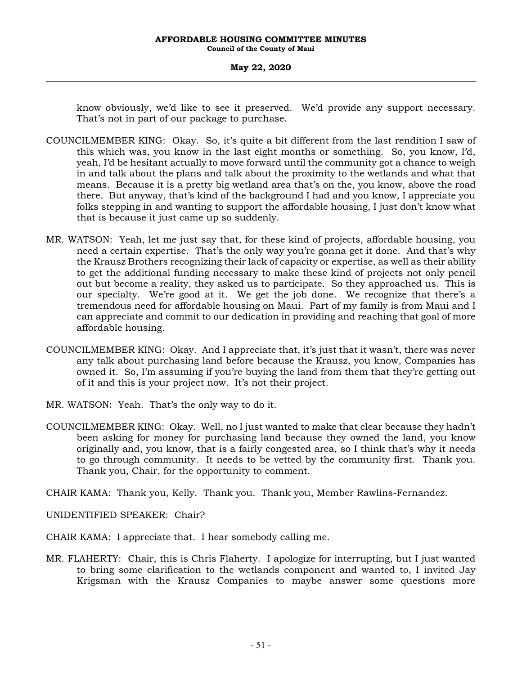# **May 22, 2020**

know obviously, we'd like to see it preserved. We'd provide any support necessary. That's not in part of our package to purchase.

- COUNCILMEMBER KING: Okay. So, it's quite a bit different from the last rendition I saw of this which was, you know in the last eight months or something. So, you know, I'd, yeah, I'd be hesitant actually to move forward until the community got a chance to weigh in and talk about the plans and talk about the proximity to the wetlands and what that means. Because it is a pretty big wetland area that's on the, you know, above the road there. But anyway, that's kind of the background I had and you know, I appreciate you folks stepping in and wanting to support the affordable housing, I just don't know what that is because it just came up so suddenly.
- MR. WATSON: Yeah, let me just say that, for these kind of projects, affordable housing, you need a certain expertise. That's the only way you're gonna get it done. And that's why the Krausz Brothers recognizing their lack of capacity or expertise, as well as their ability to get the additional funding necessary to make these kind of projects not only pencil out but become a reality, they asked us to participate. So they approached us. This is our specialty. We're good at it. We get the job done. We recognize that there's a tremendous need for affordable housing on Maui. Part of my family is from Maui and I can appreciate and commit to our dedication in providing and reaching that goal of more affordable housing.
- COUNCILMEMBER KING: Okay. And I appreciate that, it's just that it wasn't, there was never any talk about purchasing land before because the Krausz, you know, Companies has owned it. So, I'm assuming if you're buying the land from them that they're getting out of it and this is your project now. It's not their project.
- MR. WATSON: Yeah. That's the only way to do it.
- COUNCILMEMBER KING: Okay. Well, no I just wanted to make that clear because they hadn't been asking for money for purchasing land because they owned the land, you know originally and, you know, that is a fairly congested area, so I think that's why it needs to go through community. It needs to be vetted by the community first. Thank you. Thank you, Chair, for the opportunity to comment.

CHAIR KAMA: Thank you, Kelly. Thank you. Thank you, Member Rawlins-Fernandez.

UNIDENTIFIED SPEAKER: Chair?

CHAIR KAMA: I appreciate that. I hear somebody calling me.

MR. FLAHERTY: Chair, this is Chris Flaherty. I apologize for interrupting, but I just wanted to bring some clarification to the wetlands component and wanted to, I invited Jay Krigsman with the Krausz Companies to maybe answer some questions more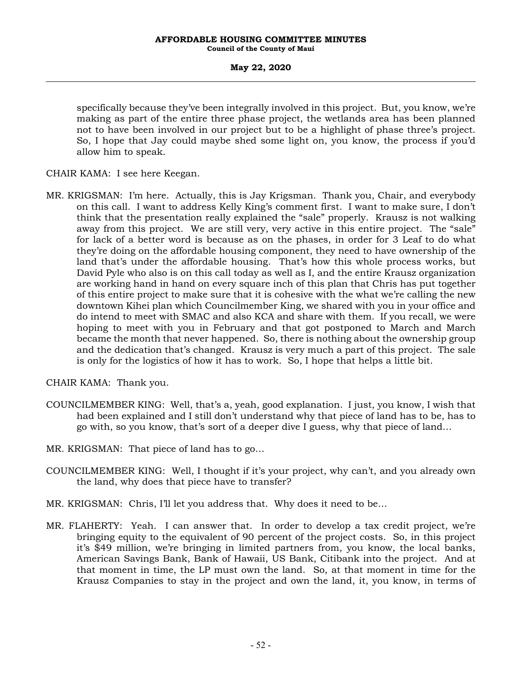# **May 22, 2020**

specifically because they've been integrally involved in this project. But, you know, we're making as part of the entire three phase project, the wetlands area has been planned not to have been involved in our project but to be a highlight of phase three's project. So, I hope that Jay could maybe shed some light on, you know, the process if you'd allow him to speak.

CHAIR KAMA: I see here Keegan.

MR. KRIGSMAN: I'm here. Actually, this is Jay Krigsman. Thank you, Chair, and everybody on this call. I want to address Kelly King's comment first. I want to make sure, I don't think that the presentation really explained the "sale" properly. Krausz is not walking away from this project. We are still very, very active in this entire project. The "sale" for lack of a better word is because as on the phases, in order for 3 Leaf to do what they're doing on the affordable housing component, they need to have ownership of the land that's under the affordable housing. That's how this whole process works, but David Pyle who also is on this call today as well as I, and the entire Krausz organization are working hand in hand on every square inch of this plan that Chris has put together of this entire project to make sure that it is cohesive with the what we're calling the new downtown Kihei plan which Councilmember King, we shared with you in your office and do intend to meet with SMAC and also KCA and share with them. If you recall, we were hoping to meet with you in February and that got postponed to March and March became the month that never happened. So, there is nothing about the ownership group and the dedication that's changed. Krausz is very much a part of this project. The sale is only for the logistics of how it has to work. So, I hope that helps a little bit.

CHAIR KAMA: Thank you.

- COUNCILMEMBER KING: Well, that's a, yeah, good explanation. I just, you know, I wish that had been explained and I still don't understand why that piece of land has to be, has to go with, so you know, that's sort of a deeper dive I guess, why that piece of land…
- MR. KRIGSMAN: That piece of land has to go…
- COUNCILMEMBER KING: Well, I thought if it's your project, why can't, and you already own the land, why does that piece have to transfer?
- MR. KRIGSMAN: Chris, I'll let you address that. Why does it need to be…
- MR. FLAHERTY: Yeah. I can answer that. In order to develop a tax credit project, we're bringing equity to the equivalent of 90 percent of the project costs. So, in this project it's \$49 million, we're bringing in limited partners from, you know, the local banks, American Savings Bank, Bank of Hawaii, US Bank, Citibank into the project. And at that moment in time, the LP must own the land. So, at that moment in time for the Krausz Companies to stay in the project and own the land, it, you know, in terms of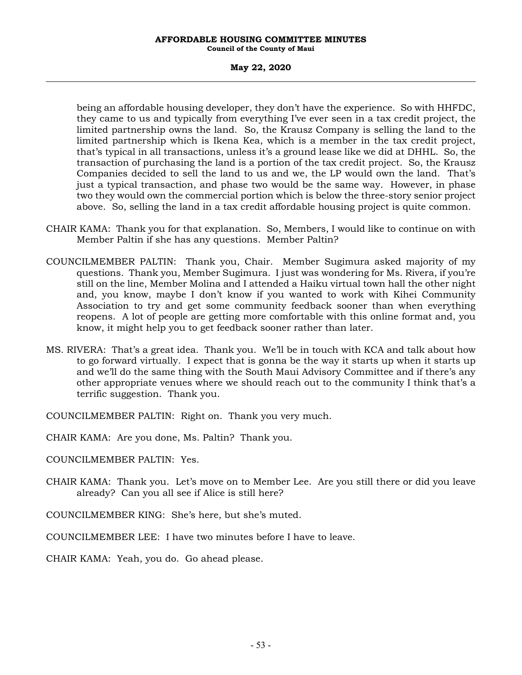# **May 22, 2020**

being an affordable housing developer, they don't have the experience. So with HHFDC, they came to us and typically from everything I've ever seen in a tax credit project, the limited partnership owns the land. So, the Krausz Company is selling the land to the limited partnership which is Ikena Kea, which is a member in the tax credit project, that's typical in all transactions, unless it's a ground lease like we did at DHHL. So, the transaction of purchasing the land is a portion of the tax credit project. So, the Krausz Companies decided to sell the land to us and we, the LP would own the land. That's just a typical transaction, and phase two would be the same way. However, in phase two they would own the commercial portion which is below the three-story senior project above. So, selling the land in a tax credit affordable housing project is quite common.

- CHAIR KAMA: Thank you for that explanation. So, Members, I would like to continue on with Member Paltin if she has any questions. Member Paltin?
- COUNCILMEMBER PALTIN: Thank you, Chair. Member Sugimura asked majority of my questions. Thank you, Member Sugimura. I just was wondering for Ms. Rivera, if you're still on the line, Member Molina and I attended a Haiku virtual town hall the other night and, you know, maybe I don't know if you wanted to work with Kihei Community Association to try and get some community feedback sooner than when everything reopens. A lot of people are getting more comfortable with this online format and, you know, it might help you to get feedback sooner rather than later.
- MS. RIVERA: That's a great idea. Thank you. We'll be in touch with KCA and talk about how to go forward virtually. I expect that is gonna be the way it starts up when it starts up and we'll do the same thing with the South Maui Advisory Committee and if there's any other appropriate venues where we should reach out to the community I think that's a terrific suggestion. Thank you.
- COUNCILMEMBER PALTIN: Right on. Thank you very much.
- CHAIR KAMA: Are you done, Ms. Paltin? Thank you.
- COUNCILMEMBER PALTIN: Yes.
- CHAIR KAMA: Thank you. Let's move on to Member Lee. Are you still there or did you leave already? Can you all see if Alice is still here?
- COUNCILMEMBER KING: She's here, but she's muted.
- COUNCILMEMBER LEE: I have two minutes before I have to leave.
- CHAIR KAMA: Yeah, you do. Go ahead please.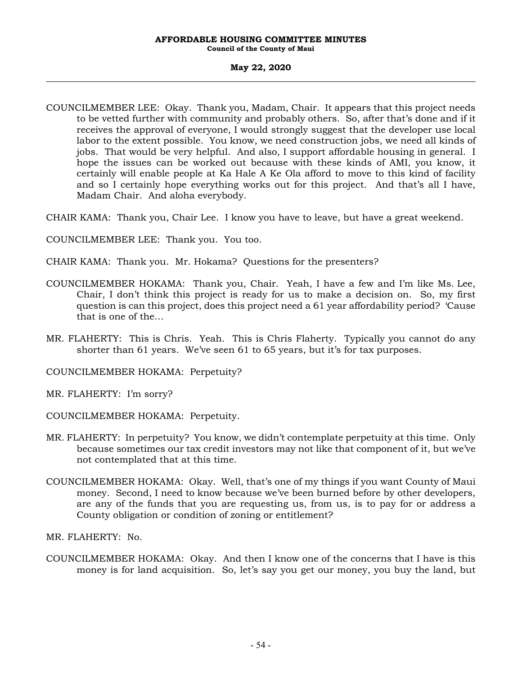# **May 22, 2020**

- COUNCILMEMBER LEE: Okay. Thank you, Madam, Chair. It appears that this project needs to be vetted further with community and probably others. So, after that's done and if it receives the approval of everyone, I would strongly suggest that the developer use local labor to the extent possible. You know, we need construction jobs, we need all kinds of jobs. That would be very helpful. And also, I support affordable housing in general. I hope the issues can be worked out because with these kinds of AMI, you know, it certainly will enable people at Ka Hale A Ke Ola afford to move to this kind of facility and so I certainly hope everything works out for this project. And that's all I have, Madam Chair. And aloha everybody.
- CHAIR KAMA: Thank you, Chair Lee. I know you have to leave, but have a great weekend.
- COUNCILMEMBER LEE: Thank you. You too.
- CHAIR KAMA: Thank you. Mr. Hokama? Questions for the presenters?
- COUNCILMEMBER HOKAMA: Thank you, Chair. Yeah, I have a few and I'm like Ms. Lee, Chair, I don't think this project is ready for us to make a decision on. So, my first question is can this project, does this project need a 61 year affordability period? 'Cause that is one of the…
- MR. FLAHERTY: This is Chris. Yeah. This is Chris Flaherty. Typically you cannot do any shorter than 61 years. We've seen 61 to 65 years, but it's for tax purposes.
- COUNCILMEMBER HOKAMA: Perpetuity?
- MR. FLAHERTY: I'm sorry?
- COUNCILMEMBER HOKAMA: Perpetuity.
- MR. FLAHERTY: In perpetuity? You know, we didn't contemplate perpetuity at this time. Only because sometimes our tax credit investors may not like that component of it, but we've not contemplated that at this time.
- COUNCILMEMBER HOKAMA: Okay. Well, that's one of my things if you want County of Maui money. Second, I need to know because we've been burned before by other developers, are any of the funds that you are requesting us, from us, is to pay for or address a County obligation or condition of zoning or entitlement?

MR. FLAHERTY: No.

COUNCILMEMBER HOKAMA: Okay. And then I know one of the concerns that I have is this money is for land acquisition. So, let's say you get our money, you buy the land, but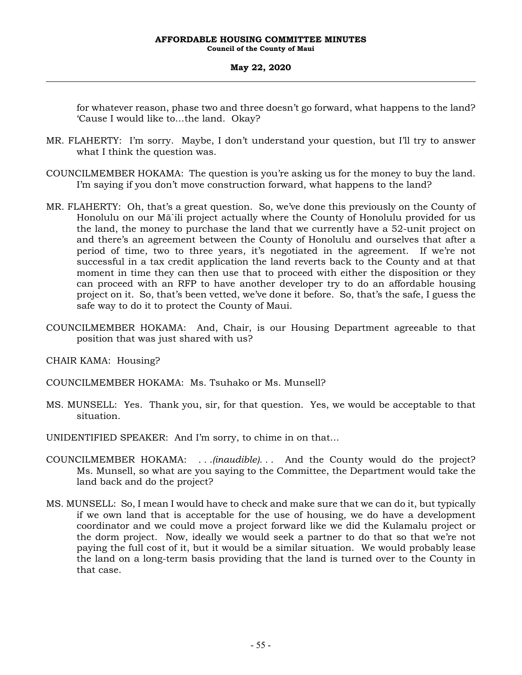# **May 22, 2020**

for whatever reason, phase two and three doesn't go forward, what happens to the land? 'Cause I would like to…the land. Okay?

- MR. FLAHERTY: I'm sorry. Maybe, I don't understand your question, but I'll try to answer what I think the question was.
- COUNCILMEMBER HOKAMA: The question is you're asking us for the money to buy the land. I'm saying if you don't move construction forward, what happens to the land?
- MR. FLAHERTY: Oh, that's a great question. So, we've done this previously on the County of Honolulu on our Mā`ili project actually where the County of Honolulu provided for us the land, the money to purchase the land that we currently have a 52-unit project on and there's an agreement between the County of Honolulu and ourselves that after a period of time, two to three years, it's negotiated in the agreement. If we're not successful in a tax credit application the land reverts back to the County and at that moment in time they can then use that to proceed with either the disposition or they can proceed with an RFP to have another developer try to do an affordable housing project on it. So, that's been vetted, we've done it before. So, that's the safe, I guess the safe way to do it to protect the County of Maui.
- COUNCILMEMBER HOKAMA: And, Chair, is our Housing Department agreeable to that position that was just shared with us?
- CHAIR KAMA: Housing?
- COUNCILMEMBER HOKAMA: Ms. Tsuhako or Ms. Munsell?
- MS. MUNSELL: Yes. Thank you, sir, for that question. Yes, we would be acceptable to that situation.
- UNIDENTIFIED SPEAKER: And I'm sorry, to chime in on that…
- COUNCILMEMBER HOKAMA: *. . .(inaudible). . .* And the County would do the project? Ms. Munsell, so what are you saying to the Committee, the Department would take the land back and do the project?
- MS. MUNSELL: So, I mean I would have to check and make sure that we can do it, but typically if we own land that is acceptable for the use of housing, we do have a development coordinator and we could move a project forward like we did the Kulamalu project or the dorm project. Now, ideally we would seek a partner to do that so that we're not paying the full cost of it, but it would be a similar situation. We would probably lease the land on a long-term basis providing that the land is turned over to the County in that case.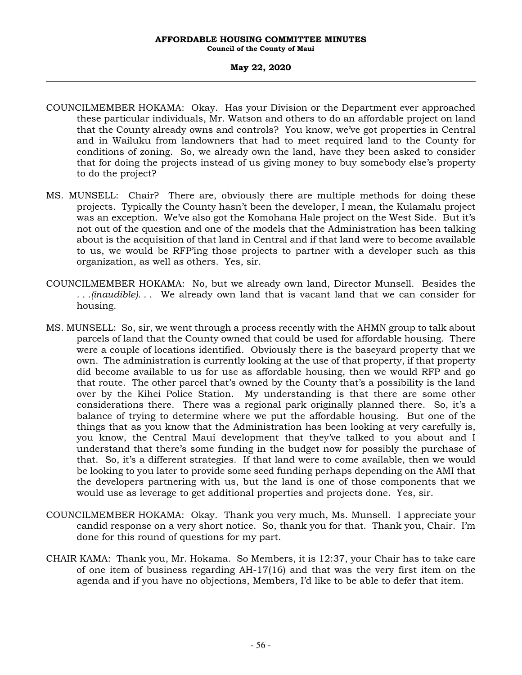- COUNCILMEMBER HOKAMA: Okay. Has your Division or the Department ever approached these particular individuals, Mr. Watson and others to do an affordable project on land that the County already owns and controls? You know, we've got properties in Central and in Wailuku from landowners that had to meet required land to the County for conditions of zoning. So, we already own the land, have they been asked to consider that for doing the projects instead of us giving money to buy somebody else's property to do the project?
- MS. MUNSELL: Chair? There are, obviously there are multiple methods for doing these projects. Typically the County hasn't been the developer, I mean, the Kulamalu project was an exception. We've also got the Komohana Hale project on the West Side. But it's not out of the question and one of the models that the Administration has been talking about is the acquisition of that land in Central and if that land were to become available to us, we would be RFP'ing those projects to partner with a developer such as this organization, as well as others. Yes, sir.
- COUNCILMEMBER HOKAMA: No, but we already own land, Director Munsell. Besides the *. . .(inaudible). . .* We already own land that is vacant land that we can consider for housing.
- MS. MUNSELL: So, sir, we went through a process recently with the AHMN group to talk about parcels of land that the County owned that could be used for affordable housing. There were a couple of locations identified. Obviously there is the baseyard property that we own. The administration is currently looking at the use of that property, if that property did become available to us for use as affordable housing, then we would RFP and go that route. The other parcel that's owned by the County that's a possibility is the land over by the Kihei Police Station. My understanding is that there are some other considerations there. There was a regional park originally planned there. So, it's a balance of trying to determine where we put the affordable housing. But one of the things that as you know that the Administration has been looking at very carefully is, you know, the Central Maui development that they've talked to you about and I understand that there's some funding in the budget now for possibly the purchase of that. So, it's a different strategies. If that land were to come available, then we would be looking to you later to provide some seed funding perhaps depending on the AMI that the developers partnering with us, but the land is one of those components that we would use as leverage to get additional properties and projects done. Yes, sir.
- COUNCILMEMBER HOKAMA: Okay. Thank you very much, Ms. Munsell. I appreciate your candid response on a very short notice. So, thank you for that. Thank you, Chair. I'm done for this round of questions for my part.
- CHAIR KAMA: Thank you, Mr. Hokama. So Members, it is 12:37, your Chair has to take care of one item of business regarding AH-17(16) and that was the very first item on the agenda and if you have no objections, Members, I'd like to be able to defer that item.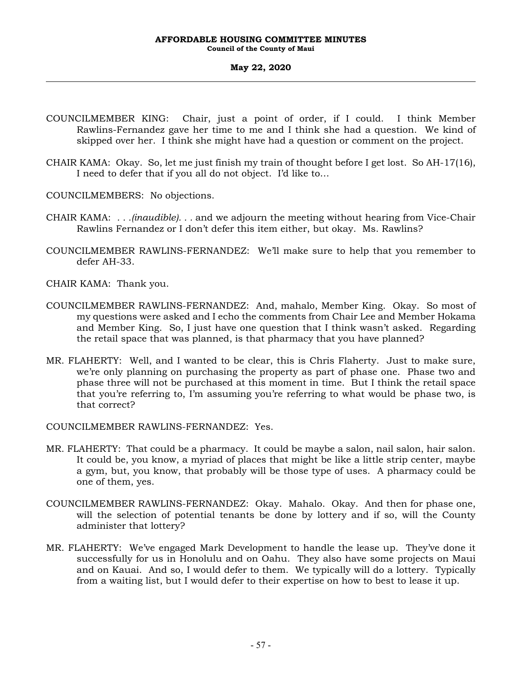# **May 22, 2020**

- COUNCILMEMBER KING: Chair, just a point of order, if I could. I think Member Rawlins-Fernandez gave her time to me and I think she had a question. We kind of skipped over her. I think she might have had a question or comment on the project.
- CHAIR KAMA: Okay. So, let me just finish my train of thought before I get lost. So AH-17(16), I need to defer that if you all do not object. I'd like to…

COUNCILMEMBERS: No objections.

- CHAIR KAMA: *. . .(inaudible). . .* and we adjourn the meeting without hearing from Vice-Chair Rawlins Fernandez or I don't defer this item either, but okay. Ms. Rawlins?
- COUNCILMEMBER RAWLINS-FERNANDEZ: We'll make sure to help that you remember to defer AH-33.
- CHAIR KAMA: Thank you.
- COUNCILMEMBER RAWLINS-FERNANDEZ: And, mahalo, Member King. Okay. So most of my questions were asked and I echo the comments from Chair Lee and Member Hokama and Member King. So, I just have one question that I think wasn't asked. Regarding the retail space that was planned, is that pharmacy that you have planned?
- MR. FLAHERTY: Well, and I wanted to be clear, this is Chris Flaherty. Just to make sure, we're only planning on purchasing the property as part of phase one. Phase two and phase three will not be purchased at this moment in time. But I think the retail space that you're referring to, I'm assuming you're referring to what would be phase two, is that correct?

COUNCILMEMBER RAWLINS-FERNANDEZ: Yes.

- MR. FLAHERTY: That could be a pharmacy. It could be maybe a salon, nail salon, hair salon. It could be, you know, a myriad of places that might be like a little strip center, maybe a gym, but, you know, that probably will be those type of uses. A pharmacy could be one of them, yes.
- COUNCILMEMBER RAWLINS-FERNANDEZ: Okay. Mahalo. Okay. And then for phase one, will the selection of potential tenants be done by lottery and if so, will the County administer that lottery?
- MR. FLAHERTY: We've engaged Mark Development to handle the lease up. They've done it successfully for us in Honolulu and on Oahu. They also have some projects on Maui and on Kauai. And so, I would defer to them. We typically will do a lottery. Typically from a waiting list, but I would defer to their expertise on how to best to lease it up.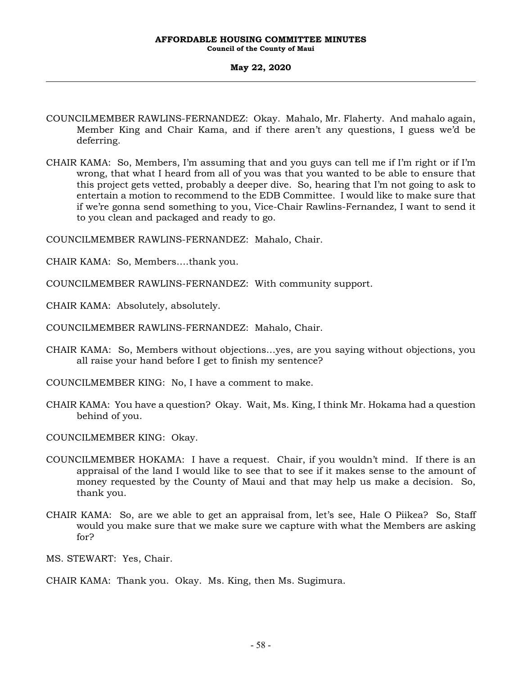# **May 22, 2020**

- COUNCILMEMBER RAWLINS-FERNANDEZ: Okay. Mahalo, Mr. Flaherty. And mahalo again, Member King and Chair Kama, and if there aren't any questions, I guess we'd be deferring.
- CHAIR KAMA: So, Members, I'm assuming that and you guys can tell me if I'm right or if I'm wrong, that what I heard from all of you was that you wanted to be able to ensure that this project gets vetted, probably a deeper dive. So, hearing that I'm not going to ask to entertain a motion to recommend to the EDB Committee. I would like to make sure that if we're gonna send something to you, Vice-Chair Rawlins-Fernandez, I want to send it to you clean and packaged and ready to go.

COUNCILMEMBER RAWLINS-FERNANDEZ: Mahalo, Chair.

CHAIR KAMA: So, Members….thank you.

COUNCILMEMBER RAWLINS-FERNANDEZ: With community support.

CHAIR KAMA: Absolutely, absolutely.

COUNCILMEMBER RAWLINS-FERNANDEZ: Mahalo, Chair.

CHAIR KAMA: So, Members without objections…yes, are you saying without objections, you all raise your hand before I get to finish my sentence?

COUNCILMEMBER KING: No, I have a comment to make.

CHAIR KAMA: You have a question? Okay. Wait, Ms. King, I think Mr. Hokama had a question behind of you.

COUNCILMEMBER KING: Okay.

- COUNCILMEMBER HOKAMA: I have a request. Chair, if you wouldn't mind. If there is an appraisal of the land I would like to see that to see if it makes sense to the amount of money requested by the County of Maui and that may help us make a decision. So, thank you.
- CHAIR KAMA: So, are we able to get an appraisal from, let's see, Hale O Piikea? So, Staff would you make sure that we make sure we capture with what the Members are asking for?

MS. STEWART: Yes, Chair.

CHAIR KAMA: Thank you. Okay. Ms. King, then Ms. Sugimura.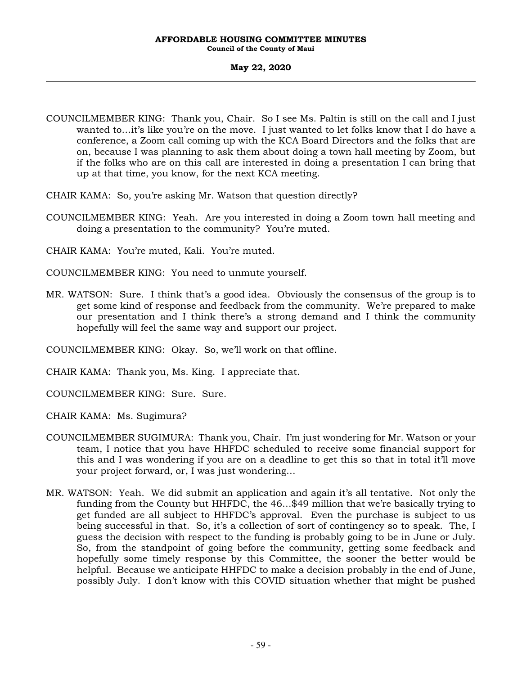# **May 22, 2020**

COUNCILMEMBER KING: Thank you, Chair. So I see Ms. Paltin is still on the call and I just wanted to…it's like you're on the move. I just wanted to let folks know that I do have a conference, a Zoom call coming up with the KCA Board Directors and the folks that are on, because I was planning to ask them about doing a town hall meeting by Zoom, but if the folks who are on this call are interested in doing a presentation I can bring that up at that time, you know, for the next KCA meeting.

CHAIR KAMA: So, you're asking Mr. Watson that question directly?

COUNCILMEMBER KING: Yeah. Are you interested in doing a Zoom town hall meeting and doing a presentation to the community? You're muted.

CHAIR KAMA: You're muted, Kali. You're muted.

COUNCILMEMBER KING: You need to unmute yourself.

MR. WATSON: Sure. I think that's a good idea. Obviously the consensus of the group is to get some kind of response and feedback from the community. We're prepared to make our presentation and I think there's a strong demand and I think the community hopefully will feel the same way and support our project.

COUNCILMEMBER KING: Okay. So, we'll work on that offline.

CHAIR KAMA: Thank you, Ms. King. I appreciate that.

COUNCILMEMBER KING: Sure. Sure.

CHAIR KAMA: Ms. Sugimura?

- COUNCILMEMBER SUGIMURA: Thank you, Chair. I'm just wondering for Mr. Watson or your team, I notice that you have HHFDC scheduled to receive some financial support for this and I was wondering if you are on a deadline to get this so that in total it'll move your project forward, or, I was just wondering…
- MR. WATSON: Yeah. We did submit an application and again it's all tentative. Not only the funding from the County but HHFDC, the 46…\$49 million that we're basically trying to get funded are all subject to HHFDC's approval. Even the purchase is subject to us being successful in that. So, it's a collection of sort of contingency so to speak. The, I guess the decision with respect to the funding is probably going to be in June or July. So, from the standpoint of going before the community, getting some feedback and hopefully some timely response by this Committee, the sooner the better would be helpful. Because we anticipate HHFDC to make a decision probably in the end of June, possibly July. I don't know with this COVID situation whether that might be pushed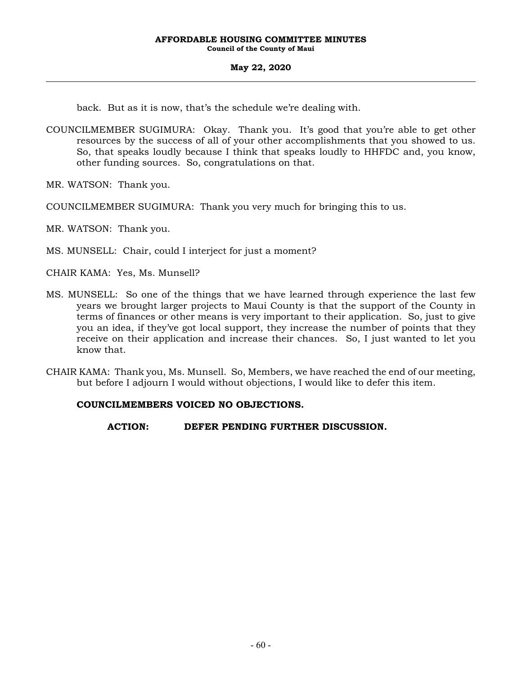# **May 22, 2020**

back. But as it is now, that's the schedule we're dealing with.

COUNCILMEMBER SUGIMURA: Okay. Thank you. It's good that you're able to get other resources by the success of all of your other accomplishments that you showed to us. So, that speaks loudly because I think that speaks loudly to HHFDC and, you know, other funding sources. So, congratulations on that.

MR. WATSON: Thank you.

COUNCILMEMBER SUGIMURA: Thank you very much for bringing this to us.

MR. WATSON: Thank you.

MS. MUNSELL: Chair, could I interject for just a moment?

CHAIR KAMA: Yes, Ms. Munsell?

- MS. MUNSELL: So one of the things that we have learned through experience the last few years we brought larger projects to Maui County is that the support of the County in terms of finances or other means is very important to their application. So, just to give you an idea, if they've got local support, they increase the number of points that they receive on their application and increase their chances. So, I just wanted to let you know that.
- CHAIR KAMA: Thank you, Ms. Munsell. So, Members, we have reached the end of our meeting, but before I adjourn I would without objections, I would like to defer this item.

# **COUNCILMEMBERS VOICED NO OBJECTIONS.**

**ACTION: DEFER PENDING FURTHER DISCUSSION.**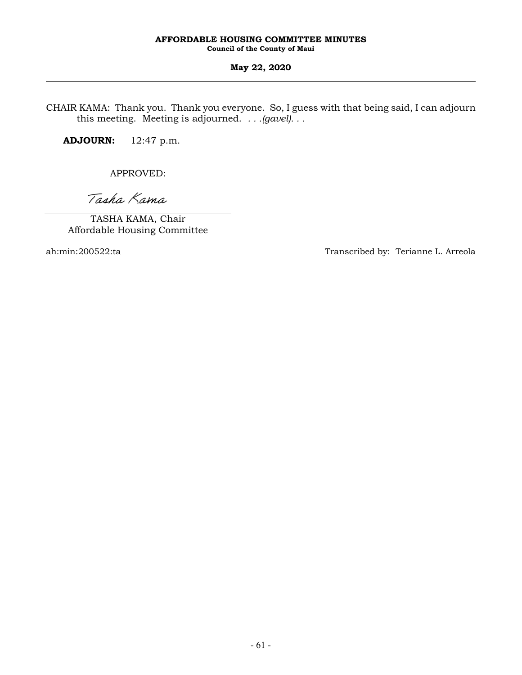# **May 22, 2020**

CHAIR KAMA: Thank you. Thank you everyone. So, I guess with that being said, I can adjourn this meeting. Meeting is adjourned. *. . .(gavel). . .*

 **ADJOURN:** 12:47 p.m.

APPROVED:

Tasha Kama

TASHA KAMA, Chair Affordable Housing Committee

ah:min:200522:ta Transcribed by: Terianne L. Arreola